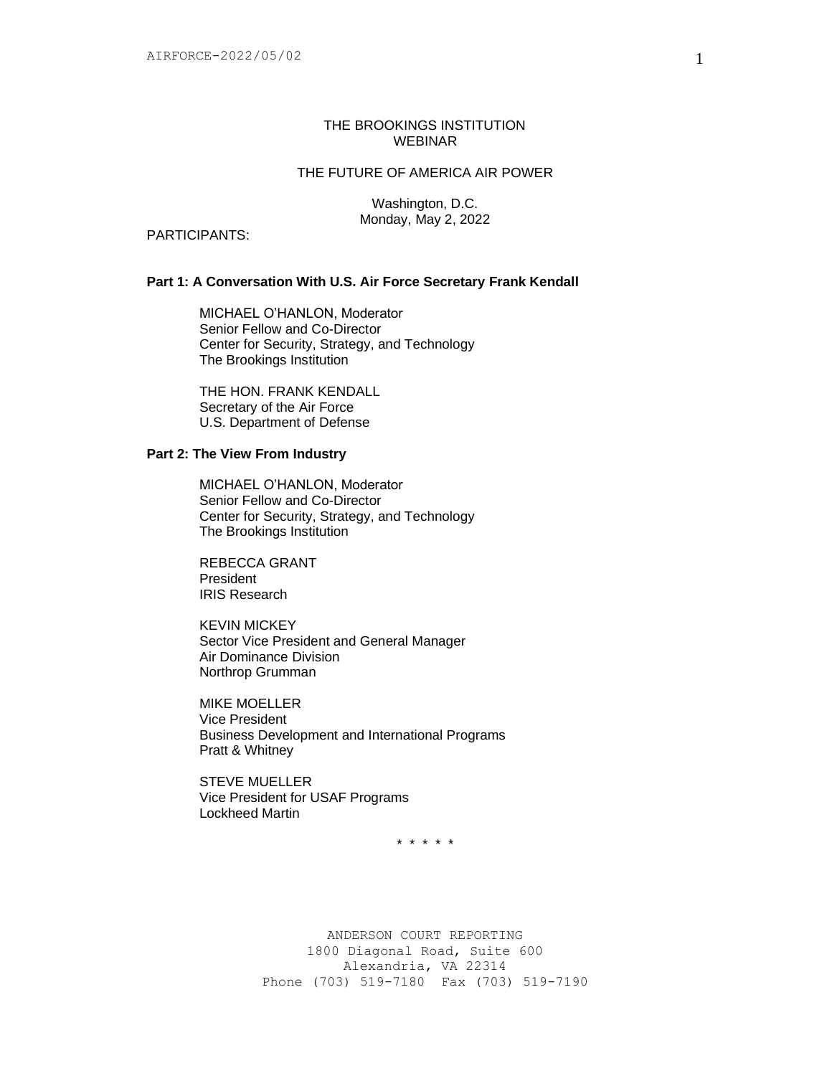## THE BROOKINGS INSTITUTION WEBINAR

# THE FUTURE OF AMERICA AIR POWER

Washington, D.C. Monday, May 2, 2022

# PARTICIPANTS:

### **Part 1: A Conversation With U.S. Air Force Secretary Frank Kendall**

MICHAEL O'HANLON, Moderator Senior Fellow and Co-Director Center for Security, Strategy, and Technology The Brookings Institution

THE HON. FRANK KENDALL Secretary of the Air Force U.S. Department of Defense

## **Part 2: The View From Industry**

MICHAEL O'HANLON, Moderator Senior Fellow and Co-Director Center for Security, Strategy, and Technology The Brookings Institution

REBECCA GRANT President IRIS Research

KEVIN MICKEY Sector Vice President and General Manager Air Dominance Division Northrop Grumman

MIKE MOELLER Vice President Business Development and International Programs Pratt & Whitney

STEVE MUELLER Vice President for USAF Programs Lockheed Martin

\* \* \* \* \*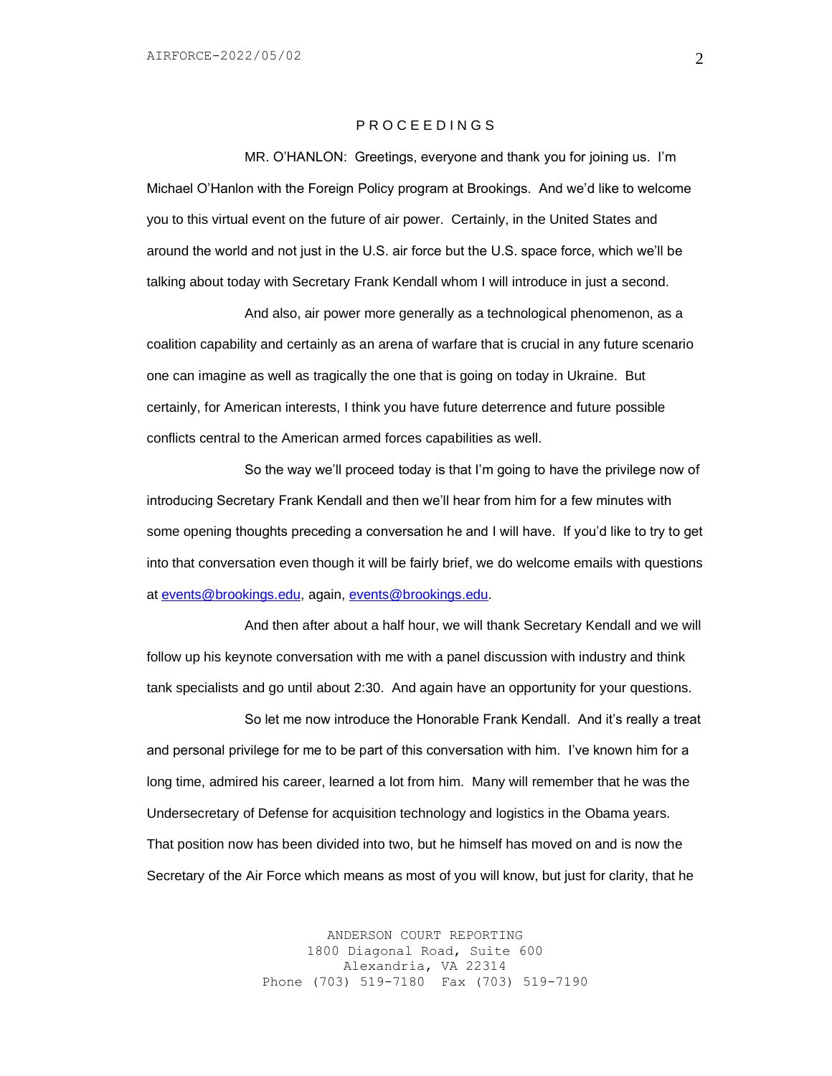### P R O C E E D I N G S

MR. O'HANLON: Greetings, everyone and thank you for joining us. I'm Michael O'Hanlon with the Foreign Policy program at Brookings. And we'd like to welcome you to this virtual event on the future of air power. Certainly, in the United States and around the world and not just in the U.S. air force but the U.S. space force, which we'll be talking about today with Secretary Frank Kendall whom I will introduce in just a second.

And also, air power more generally as a technological phenomenon, as a coalition capability and certainly as an arena of warfare that is crucial in any future scenario one can imagine as well as tragically the one that is going on today in Ukraine. But certainly, for American interests, I think you have future deterrence and future possible conflicts central to the American armed forces capabilities as well.

So the way we'll proceed today is that I'm going to have the privilege now of introducing Secretary Frank Kendall and then we'll hear from him for a few minutes with some opening thoughts preceding a conversation he and I will have. If you'd like to try to get into that conversation even though it will be fairly brief, we do welcome emails with questions at [events@brookings.edu,](mailto:events@brookings.edu) again, [events@brookings.edu.](mailto:events@brookings.edu)

And then after about a half hour, we will thank Secretary Kendall and we will follow up his keynote conversation with me with a panel discussion with industry and think tank specialists and go until about 2:30. And again have an opportunity for your questions.

So let me now introduce the Honorable Frank Kendall. And it's really a treat and personal privilege for me to be part of this conversation with him. I've known him for a long time, admired his career, learned a lot from him. Many will remember that he was the Undersecretary of Defense for acquisition technology and logistics in the Obama years. That position now has been divided into two, but he himself has moved on and is now the Secretary of the Air Force which means as most of you will know, but just for clarity, that he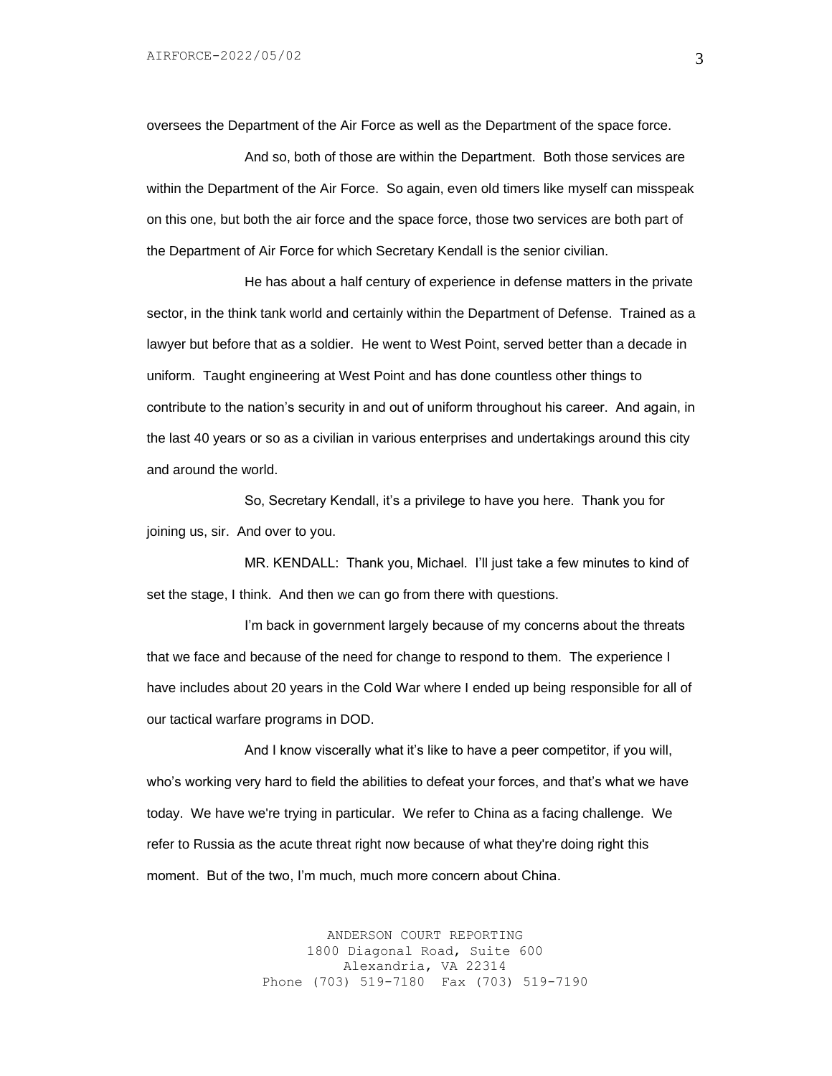oversees the Department of the Air Force as well as the Department of the space force.

And so, both of those are within the Department. Both those services are within the Department of the Air Force. So again, even old timers like myself can misspeak on this one, but both the air force and the space force, those two services are both part of the Department of Air Force for which Secretary Kendall is the senior civilian.

He has about a half century of experience in defense matters in the private sector, in the think tank world and certainly within the Department of Defense. Trained as a lawyer but before that as a soldier. He went to West Point, served better than a decade in uniform. Taught engineering at West Point and has done countless other things to contribute to the nation's security in and out of uniform throughout his career. And again, in the last 40 years or so as a civilian in various enterprises and undertakings around this city and around the world.

So, Secretary Kendall, it's a privilege to have you here. Thank you for joining us, sir. And over to you.

MR. KENDALL: Thank you, Michael. I'll just take a few minutes to kind of set the stage, I think. And then we can go from there with questions.

I'm back in government largely because of my concerns about the threats that we face and because of the need for change to respond to them. The experience I have includes about 20 years in the Cold War where I ended up being responsible for all of our tactical warfare programs in DOD.

And I know viscerally what it's like to have a peer competitor, if you will, who's working very hard to field the abilities to defeat your forces, and that's what we have today. We have we're trying in particular. We refer to China as a facing challenge. We refer to Russia as the acute threat right now because of what they're doing right this moment. But of the two, I'm much, much more concern about China.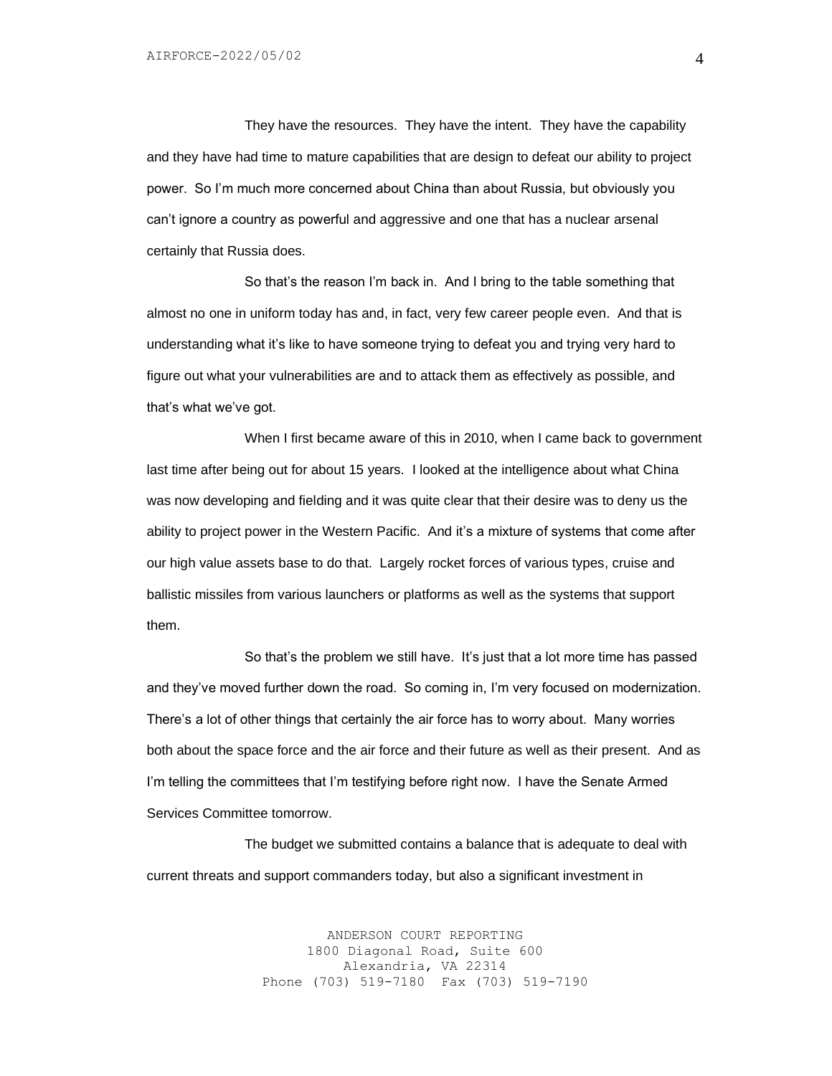They have the resources. They have the intent. They have the capability and they have had time to mature capabilities that are design to defeat our ability to project power. So I'm much more concerned about China than about Russia, but obviously you can't ignore a country as powerful and aggressive and one that has a nuclear arsenal certainly that Russia does.

So that's the reason I'm back in. And I bring to the table something that almost no one in uniform today has and, in fact, very few career people even. And that is understanding what it's like to have someone trying to defeat you and trying very hard to figure out what your vulnerabilities are and to attack them as effectively as possible, and that's what we've got.

When I first became aware of this in 2010, when I came back to government last time after being out for about 15 years. I looked at the intelligence about what China was now developing and fielding and it was quite clear that their desire was to deny us the ability to project power in the Western Pacific. And it's a mixture of systems that come after our high value assets base to do that. Largely rocket forces of various types, cruise and ballistic missiles from various launchers or platforms as well as the systems that support them.

So that's the problem we still have. It's just that a lot more time has passed and they've moved further down the road. So coming in, I'm very focused on modernization. There's a lot of other things that certainly the air force has to worry about. Many worries both about the space force and the air force and their future as well as their present. And as I'm telling the committees that I'm testifying before right now. I have the Senate Armed Services Committee tomorrow.

The budget we submitted contains a balance that is adequate to deal with current threats and support commanders today, but also a significant investment in

> ANDERSON COURT REPORTING 1800 Diagonal Road, Suite 600 Alexandria, VA 22314 Phone (703) 519-7180 Fax (703) 519-7190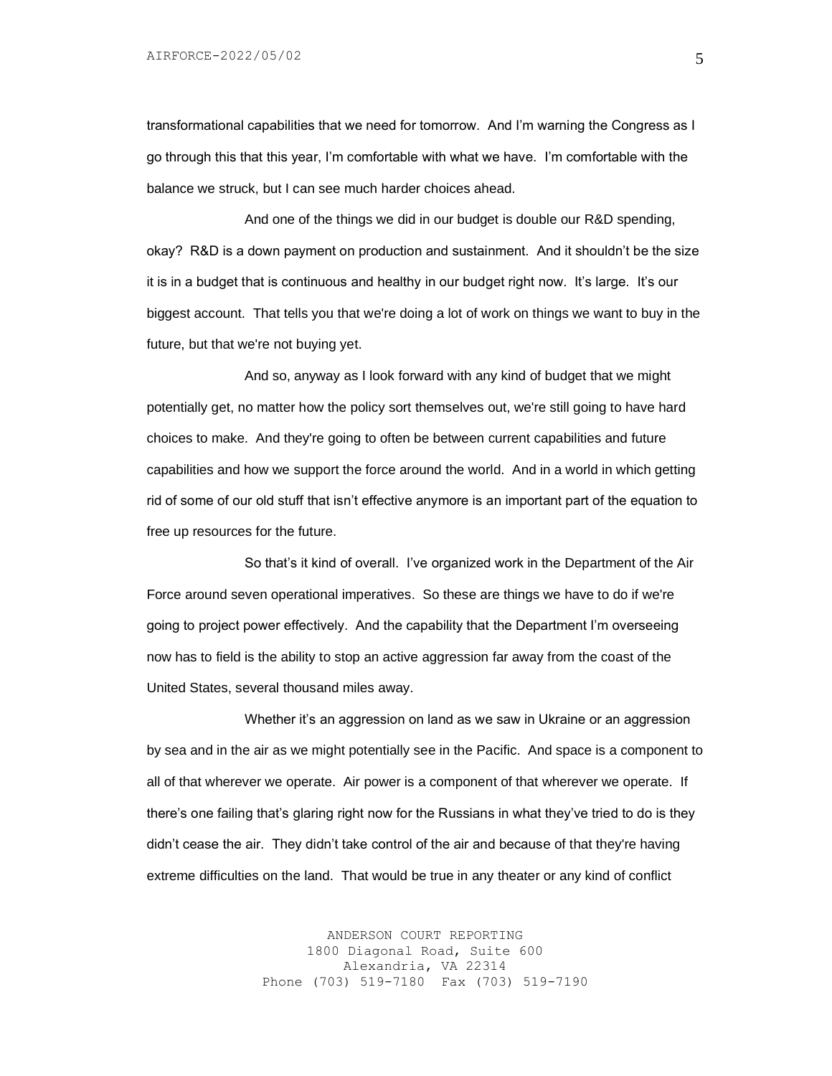transformational capabilities that we need for tomorrow. And I'm warning the Congress as I go through this that this year, I'm comfortable with what we have. I'm comfortable with the balance we struck, but I can see much harder choices ahead.

And one of the things we did in our budget is double our R&D spending, okay? R&D is a down payment on production and sustainment. And it shouldn't be the size it is in a budget that is continuous and healthy in our budget right now. It's large. It's our biggest account. That tells you that we're doing a lot of work on things we want to buy in the future, but that we're not buying yet.

And so, anyway as I look forward with any kind of budget that we might potentially get, no matter how the policy sort themselves out, we're still going to have hard choices to make. And they're going to often be between current capabilities and future capabilities and how we support the force around the world. And in a world in which getting rid of some of our old stuff that isn't effective anymore is an important part of the equation to free up resources for the future.

So that's it kind of overall. I've organized work in the Department of the Air Force around seven operational imperatives. So these are things we have to do if we're going to project power effectively. And the capability that the Department I'm overseeing now has to field is the ability to stop an active aggression far away from the coast of the United States, several thousand miles away.

Whether it's an aggression on land as we saw in Ukraine or an aggression by sea and in the air as we might potentially see in the Pacific. And space is a component to all of that wherever we operate. Air power is a component of that wherever we operate. If there's one failing that's glaring right now for the Russians in what they've tried to do is they didn't cease the air. They didn't take control of the air and because of that they're having extreme difficulties on the land. That would be true in any theater or any kind of conflict

> ANDERSON COURT REPORTING 1800 Diagonal Road, Suite 600 Alexandria, VA 22314 Phone (703) 519-7180 Fax (703) 519-7190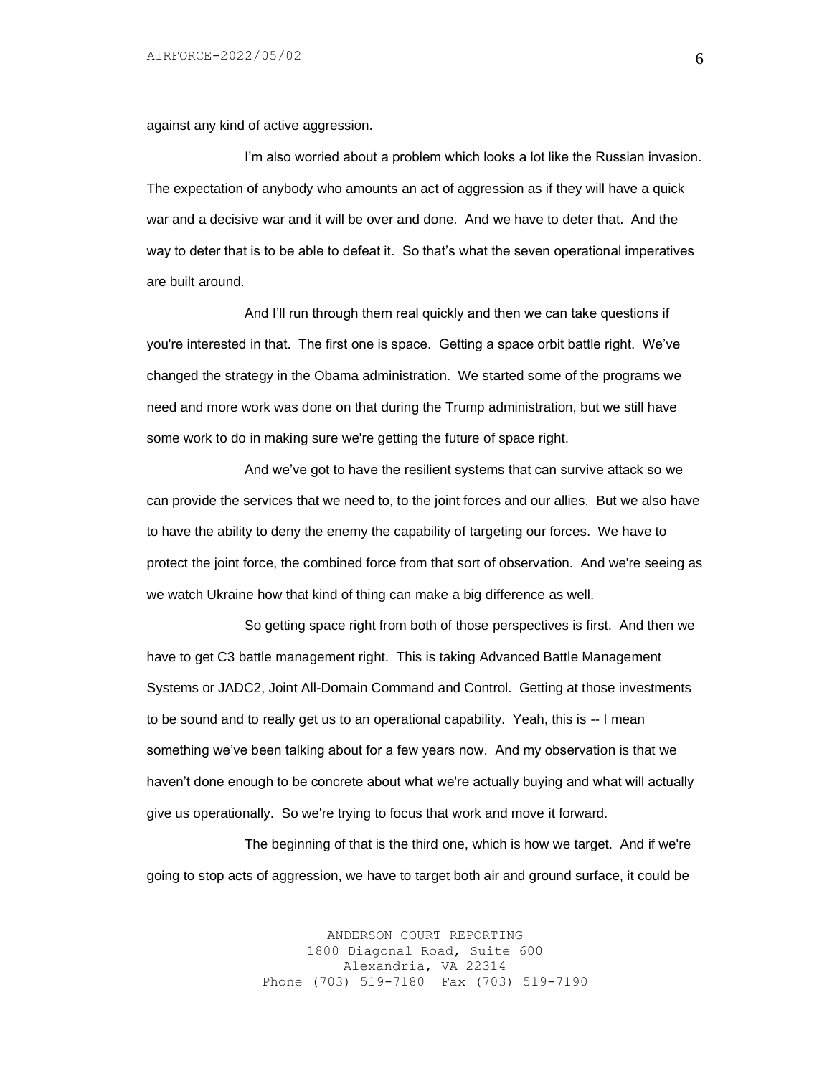against any kind of active aggression.

I'm also worried about a problem which looks a lot like the Russian invasion. The expectation of anybody who amounts an act of aggression as if they will have a quick war and a decisive war and it will be over and done. And we have to deter that. And the way to deter that is to be able to defeat it. So that's what the seven operational imperatives are built around.

And I'll run through them real quickly and then we can take questions if you're interested in that. The first one is space. Getting a space orbit battle right. We've changed the strategy in the Obama administration. We started some of the programs we need and more work was done on that during the Trump administration, but we still have some work to do in making sure we're getting the future of space right.

And we've got to have the resilient systems that can survive attack so we can provide the services that we need to, to the joint forces and our allies. But we also have to have the ability to deny the enemy the capability of targeting our forces. We have to protect the joint force, the combined force from that sort of observation. And we're seeing as we watch Ukraine how that kind of thing can make a big difference as well.

So getting space right from both of those perspectives is first. And then we have to get C3 battle management right. This is taking Advanced Battle Management Systems or JADC2, Joint All-Domain Command and Control. Getting at those investments to be sound and to really get us to an operational capability. Yeah, this is -- I mean something we've been talking about for a few years now. And my observation is that we haven't done enough to be concrete about what we're actually buying and what will actually give us operationally. So we're trying to focus that work and move it forward.

The beginning of that is the third one, which is how we target. And if we're going to stop acts of aggression, we have to target both air and ground surface, it could be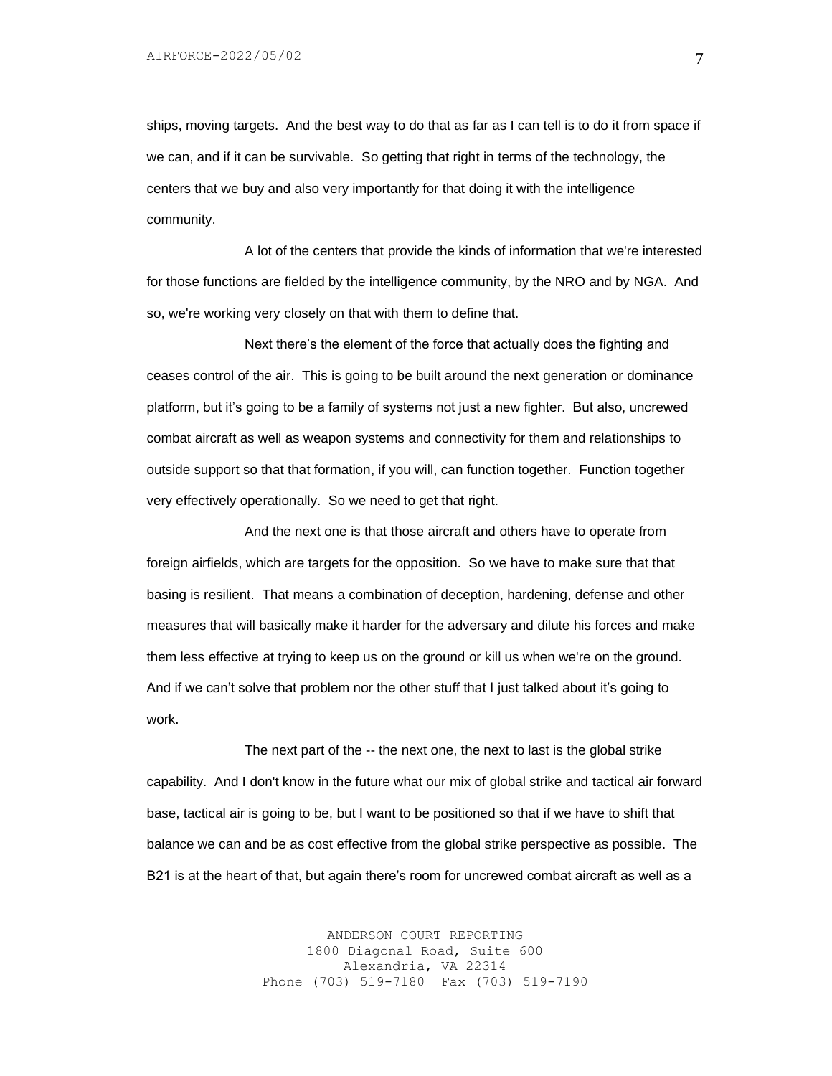ships, moving targets. And the best way to do that as far as I can tell is to do it from space if we can, and if it can be survivable. So getting that right in terms of the technology, the centers that we buy and also very importantly for that doing it with the intelligence community.

A lot of the centers that provide the kinds of information that we're interested for those functions are fielded by the intelligence community, by the NRO and by NGA. And so, we're working very closely on that with them to define that.

Next there's the element of the force that actually does the fighting and ceases control of the air. This is going to be built around the next generation or dominance platform, but it's going to be a family of systems not just a new fighter. But also, uncrewed combat aircraft as well as weapon systems and connectivity for them and relationships to outside support so that that formation, if you will, can function together. Function together very effectively operationally. So we need to get that right.

And the next one is that those aircraft and others have to operate from foreign airfields, which are targets for the opposition. So we have to make sure that that basing is resilient. That means a combination of deception, hardening, defense and other measures that will basically make it harder for the adversary and dilute his forces and make them less effective at trying to keep us on the ground or kill us when we're on the ground. And if we can't solve that problem nor the other stuff that I just talked about it's going to work.

The next part of the -- the next one, the next to last is the global strike capability. And I don't know in the future what our mix of global strike and tactical air forward base, tactical air is going to be, but I want to be positioned so that if we have to shift that balance we can and be as cost effective from the global strike perspective as possible. The B21 is at the heart of that, but again there's room for uncrewed combat aircraft as well as a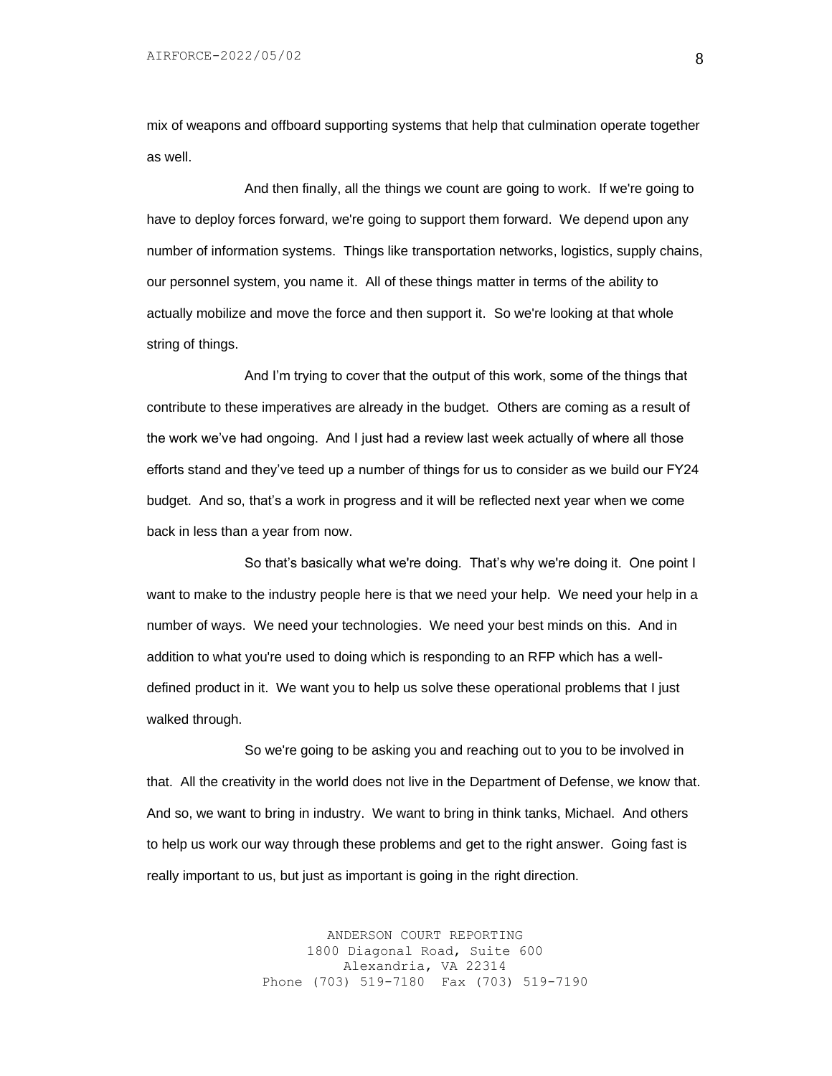mix of weapons and offboard supporting systems that help that culmination operate together as well.

And then finally, all the things we count are going to work. If we're going to have to deploy forces forward, we're going to support them forward. We depend upon any number of information systems. Things like transportation networks, logistics, supply chains, our personnel system, you name it. All of these things matter in terms of the ability to actually mobilize and move the force and then support it. So we're looking at that whole string of things.

And I'm trying to cover that the output of this work, some of the things that contribute to these imperatives are already in the budget. Others are coming as a result of the work we've had ongoing. And I just had a review last week actually of where all those efforts stand and they've teed up a number of things for us to consider as we build our FY24 budget. And so, that's a work in progress and it will be reflected next year when we come back in less than a year from now.

So that's basically what we're doing. That's why we're doing it. One point I want to make to the industry people here is that we need your help. We need your help in a number of ways. We need your technologies. We need your best minds on this. And in addition to what you're used to doing which is responding to an RFP which has a welldefined product in it. We want you to help us solve these operational problems that I just walked through.

So we're going to be asking you and reaching out to you to be involved in that. All the creativity in the world does not live in the Department of Defense, we know that. And so, we want to bring in industry. We want to bring in think tanks, Michael. And others to help us work our way through these problems and get to the right answer. Going fast is really important to us, but just as important is going in the right direction.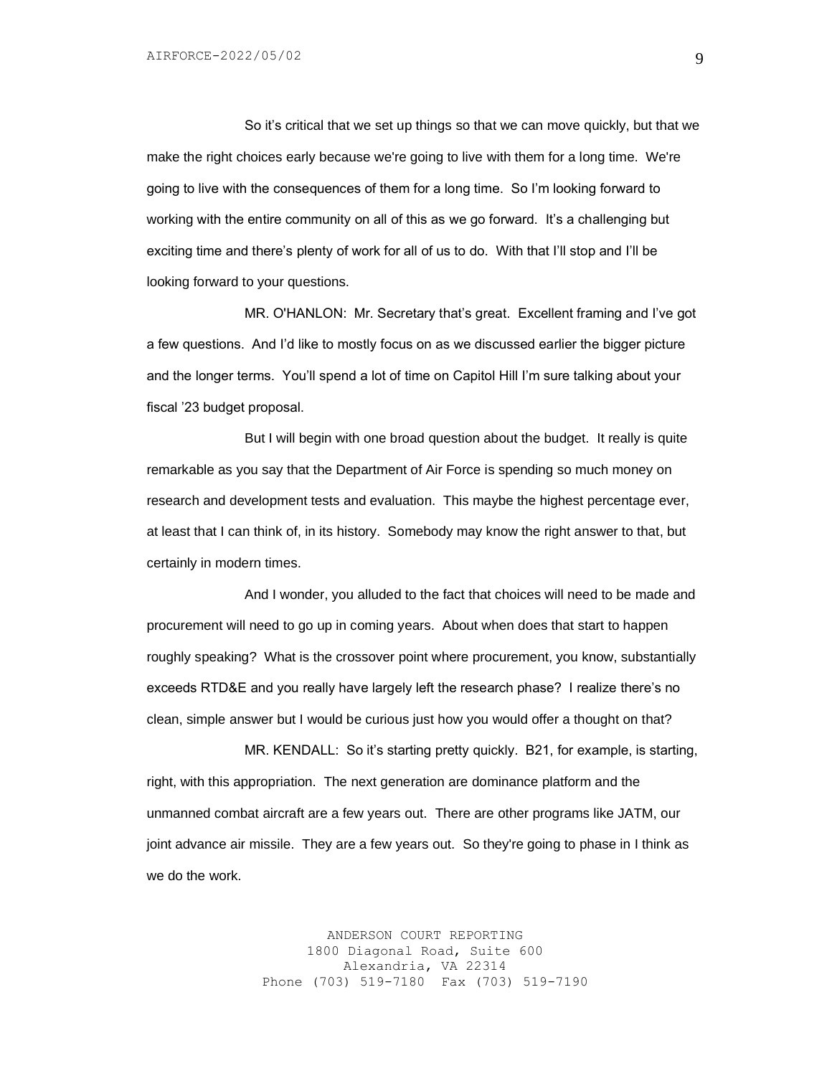So it's critical that we set up things so that we can move quickly, but that we make the right choices early because we're going to live with them for a long time. We're going to live with the consequences of them for a long time. So I'm looking forward to working with the entire community on all of this as we go forward. It's a challenging but exciting time and there's plenty of work for all of us to do. With that I'll stop and I'll be looking forward to your questions.

MR. O'HANLON: Mr. Secretary that's great. Excellent framing and I've got a few questions. And I'd like to mostly focus on as we discussed earlier the bigger picture and the longer terms. You'll spend a lot of time on Capitol Hill I'm sure talking about your fiscal '23 budget proposal.

But I will begin with one broad question about the budget. It really is quite remarkable as you say that the Department of Air Force is spending so much money on research and development tests and evaluation. This maybe the highest percentage ever, at least that I can think of, in its history. Somebody may know the right answer to that, but certainly in modern times.

And I wonder, you alluded to the fact that choices will need to be made and procurement will need to go up in coming years. About when does that start to happen roughly speaking? What is the crossover point where procurement, you know, substantially exceeds RTD&E and you really have largely left the research phase? I realize there's no clean, simple answer but I would be curious just how you would offer a thought on that?

MR. KENDALL: So it's starting pretty quickly. B21, for example, is starting, right, with this appropriation. The next generation are dominance platform and the unmanned combat aircraft are a few years out. There are other programs like JATM, our joint advance air missile. They are a few years out. So they're going to phase in I think as we do the work.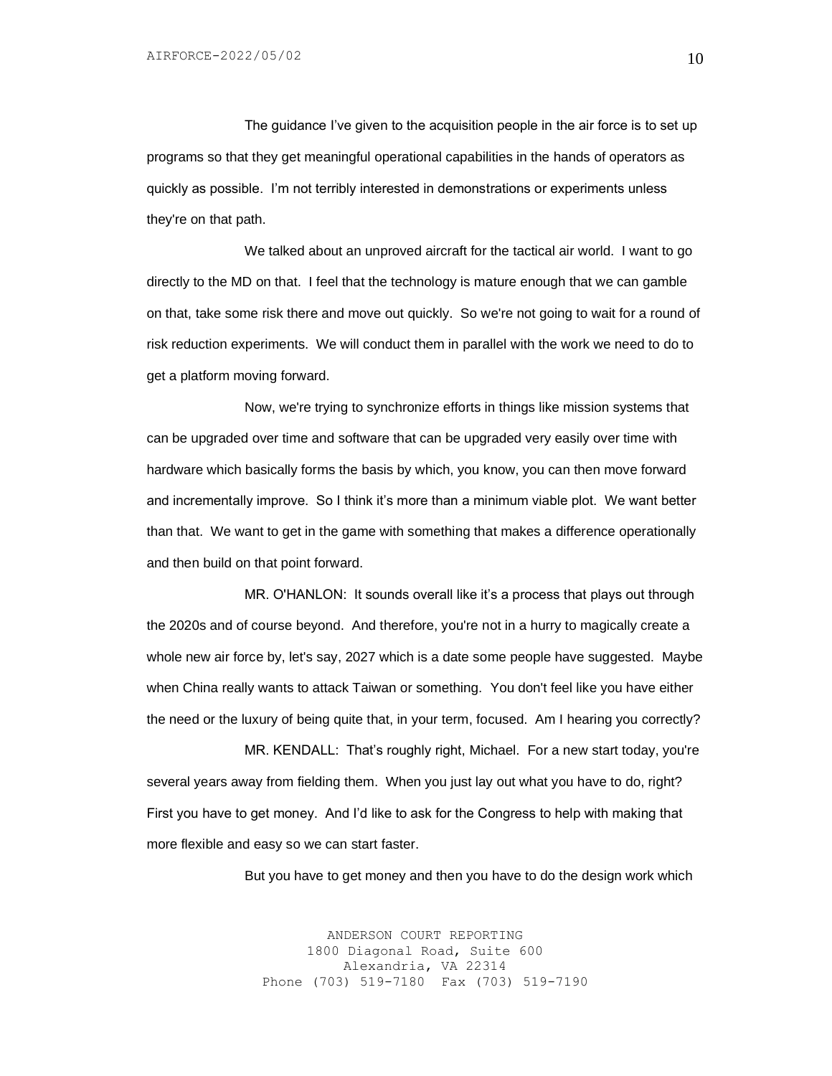The guidance I've given to the acquisition people in the air force is to set up programs so that they get meaningful operational capabilities in the hands of operators as quickly as possible. I'm not terribly interested in demonstrations or experiments unless they're on that path.

We talked about an unproved aircraft for the tactical air world. I want to go directly to the MD on that. I feel that the technology is mature enough that we can gamble on that, take some risk there and move out quickly. So we're not going to wait for a round of risk reduction experiments. We will conduct them in parallel with the work we need to do to get a platform moving forward.

Now, we're trying to synchronize efforts in things like mission systems that can be upgraded over time and software that can be upgraded very easily over time with hardware which basically forms the basis by which, you know, you can then move forward and incrementally improve. So I think it's more than a minimum viable plot. We want better than that. We want to get in the game with something that makes a difference operationally and then build on that point forward.

MR. O'HANLON: It sounds overall like it's a process that plays out through the 2020s and of course beyond. And therefore, you're not in a hurry to magically create a whole new air force by, let's say, 2027 which is a date some people have suggested. Maybe when China really wants to attack Taiwan or something. You don't feel like you have either the need or the luxury of being quite that, in your term, focused. Am I hearing you correctly?

MR. KENDALL: That's roughly right, Michael. For a new start today, you're several years away from fielding them. When you just lay out what you have to do, right? First you have to get money. And I'd like to ask for the Congress to help with making that more flexible and easy so we can start faster.

But you have to get money and then you have to do the design work which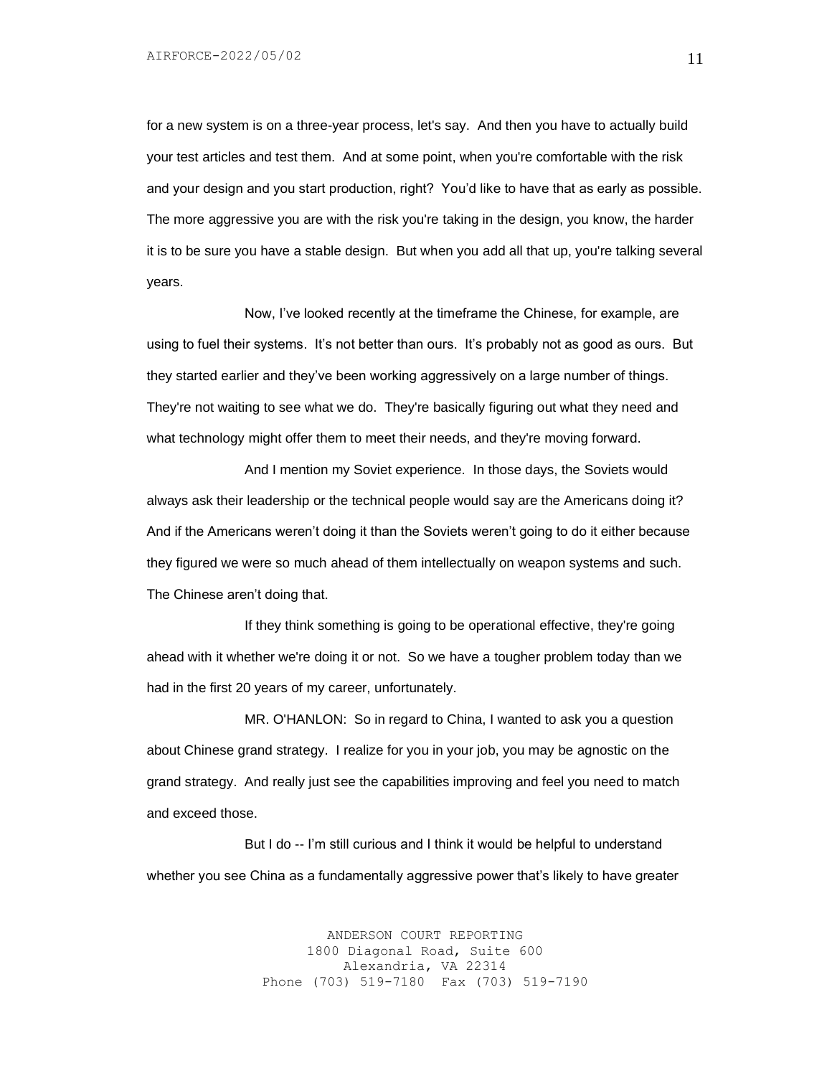for a new system is on a three-year process, let's say. And then you have to actually build your test articles and test them. And at some point, when you're comfortable with the risk and your design and you start production, right? You'd like to have that as early as possible. The more aggressive you are with the risk you're taking in the design, you know, the harder it is to be sure you have a stable design. But when you add all that up, you're talking several years.

Now, I've looked recently at the timeframe the Chinese, for example, are using to fuel their systems. It's not better than ours. It's probably not as good as ours. But they started earlier and they've been working aggressively on a large number of things. They're not waiting to see what we do. They're basically figuring out what they need and what technology might offer them to meet their needs, and they're moving forward.

And I mention my Soviet experience. In those days, the Soviets would always ask their leadership or the technical people would say are the Americans doing it? And if the Americans weren't doing it than the Soviets weren't going to do it either because they figured we were so much ahead of them intellectually on weapon systems and such. The Chinese aren't doing that.

If they think something is going to be operational effective, they're going ahead with it whether we're doing it or not. So we have a tougher problem today than we had in the first 20 years of my career, unfortunately.

MR. O'HANLON: So in regard to China, I wanted to ask you a question about Chinese grand strategy. I realize for you in your job, you may be agnostic on the grand strategy. And really just see the capabilities improving and feel you need to match and exceed those.

But I do -- I'm still curious and I think it would be helpful to understand whether you see China as a fundamentally aggressive power that's likely to have greater

> ANDERSON COURT REPORTING 1800 Diagonal Road, Suite 600 Alexandria, VA 22314 Phone (703) 519-7180 Fax (703) 519-7190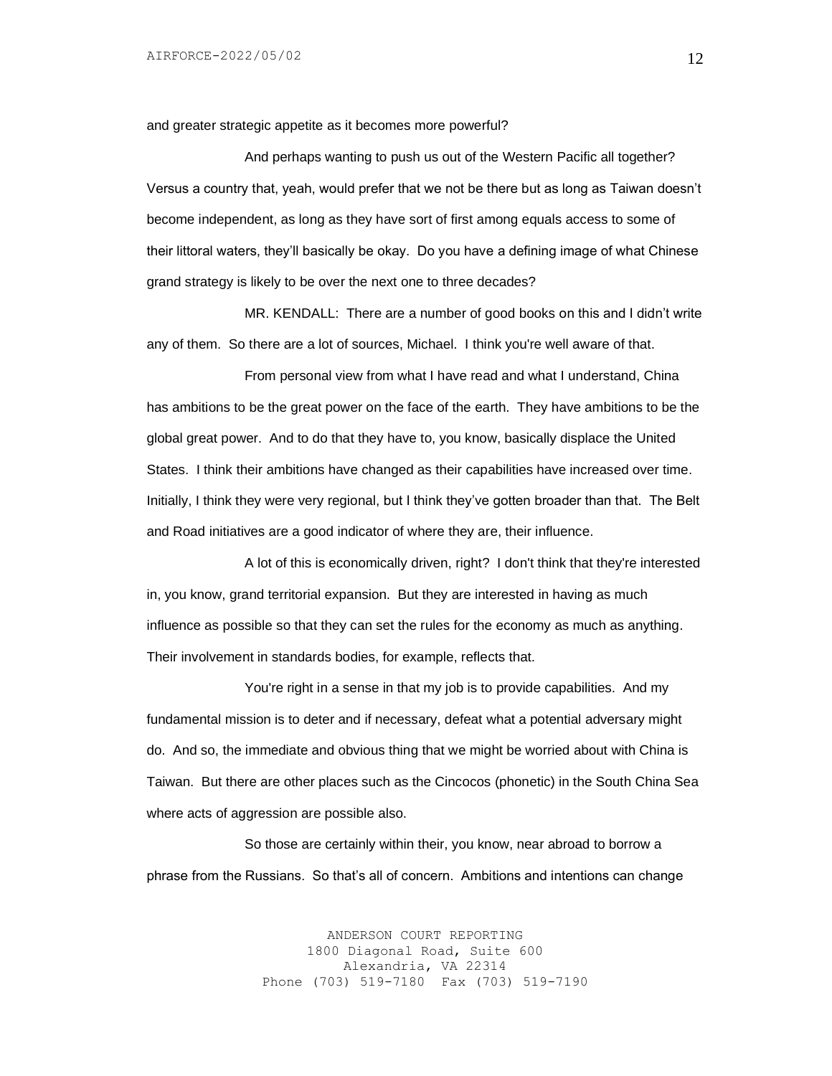and greater strategic appetite as it becomes more powerful?

And perhaps wanting to push us out of the Western Pacific all together? Versus a country that, yeah, would prefer that we not be there but as long as Taiwan doesn't become independent, as long as they have sort of first among equals access to some of their littoral waters, they'll basically be okay. Do you have a defining image of what Chinese grand strategy is likely to be over the next one to three decades?

MR. KENDALL: There are a number of good books on this and I didn't write any of them. So there are a lot of sources, Michael. I think you're well aware of that.

From personal view from what I have read and what I understand, China has ambitions to be the great power on the face of the earth. They have ambitions to be the global great power. And to do that they have to, you know, basically displace the United States. I think their ambitions have changed as their capabilities have increased over time. Initially, I think they were very regional, but I think they've gotten broader than that. The Belt and Road initiatives are a good indicator of where they are, their influence.

A lot of this is economically driven, right? I don't think that they're interested in, you know, grand territorial expansion. But they are interested in having as much influence as possible so that they can set the rules for the economy as much as anything. Their involvement in standards bodies, for example, reflects that.

You're right in a sense in that my job is to provide capabilities. And my fundamental mission is to deter and if necessary, defeat what a potential adversary might do. And so, the immediate and obvious thing that we might be worried about with China is Taiwan. But there are other places such as the Cincocos (phonetic) in the South China Sea where acts of aggression are possible also.

So those are certainly within their, you know, near abroad to borrow a phrase from the Russians. So that's all of concern. Ambitions and intentions can change

> ANDERSON COURT REPORTING 1800 Diagonal Road, Suite 600 Alexandria, VA 22314 Phone (703) 519-7180 Fax (703) 519-7190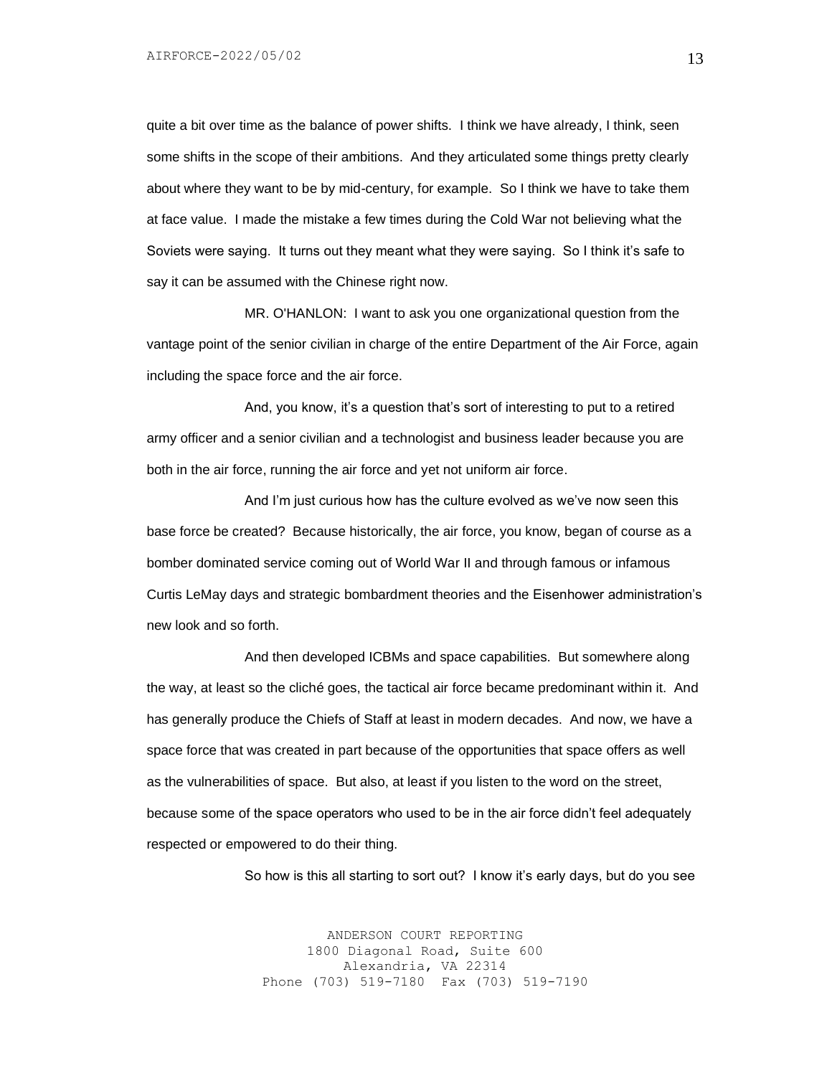quite a bit over time as the balance of power shifts. I think we have already, I think, seen some shifts in the scope of their ambitions. And they articulated some things pretty clearly about where they want to be by mid-century, for example. So I think we have to take them at face value. I made the mistake a few times during the Cold War not believing what the Soviets were saying. It turns out they meant what they were saying. So I think it's safe to say it can be assumed with the Chinese right now.

MR. O'HANLON: I want to ask you one organizational question from the vantage point of the senior civilian in charge of the entire Department of the Air Force, again including the space force and the air force.

And, you know, it's a question that's sort of interesting to put to a retired army officer and a senior civilian and a technologist and business leader because you are both in the air force, running the air force and yet not uniform air force.

And I'm just curious how has the culture evolved as we've now seen this base force be created? Because historically, the air force, you know, began of course as a bomber dominated service coming out of World War II and through famous or infamous Curtis LeMay days and strategic bombardment theories and the Eisenhower administration's new look and so forth.

And then developed ICBMs and space capabilities. But somewhere along the way, at least so the cliché goes, the tactical air force became predominant within it. And has generally produce the Chiefs of Staff at least in modern decades. And now, we have a space force that was created in part because of the opportunities that space offers as well as the vulnerabilities of space. But also, at least if you listen to the word on the street, because some of the space operators who used to be in the air force didn't feel adequately respected or empowered to do their thing.

So how is this all starting to sort out? I know it's early days, but do you see

ANDERSON COURT REPORTING 1800 Diagonal Road, Suite 600 Alexandria, VA 22314 Phone (703) 519-7180 Fax (703) 519-7190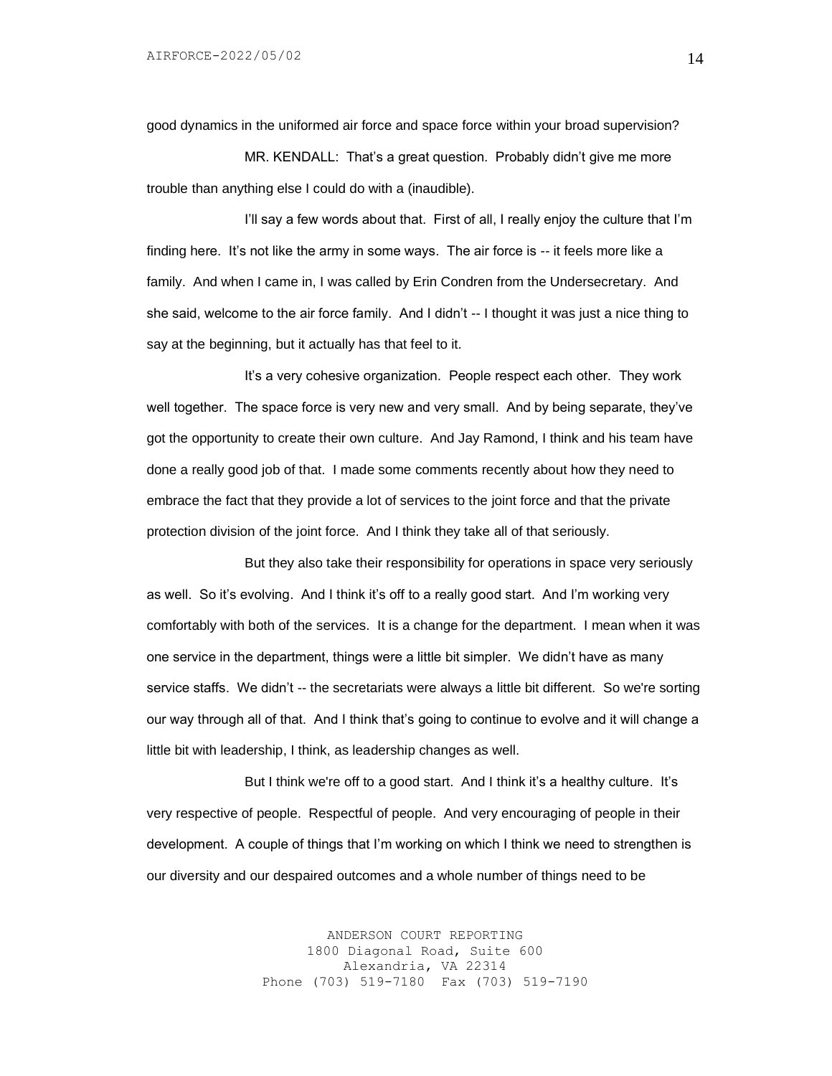good dynamics in the uniformed air force and space force within your broad supervision?

MR. KENDALL: That's a great question. Probably didn't give me more trouble than anything else I could do with a (inaudible).

I'll say a few words about that. First of all, I really enjoy the culture that I'm finding here. It's not like the army in some ways. The air force is -- it feels more like a family. And when I came in, I was called by Erin Condren from the Undersecretary. And she said, welcome to the air force family. And I didn't -- I thought it was just a nice thing to say at the beginning, but it actually has that feel to it.

It's a very cohesive organization. People respect each other. They work well together. The space force is very new and very small. And by being separate, they've got the opportunity to create their own culture. And Jay Ramond, I think and his team have done a really good job of that. I made some comments recently about how they need to embrace the fact that they provide a lot of services to the joint force and that the private protection division of the joint force. And I think they take all of that seriously.

But they also take their responsibility for operations in space very seriously as well. So it's evolving. And I think it's off to a really good start. And I'm working very comfortably with both of the services. It is a change for the department. I mean when it was one service in the department, things were a little bit simpler. We didn't have as many service staffs. We didn't -- the secretariats were always a little bit different. So we're sorting our way through all of that. And I think that's going to continue to evolve and it will change a little bit with leadership, I think, as leadership changes as well.

But I think we're off to a good start. And I think it's a healthy culture. It's very respective of people. Respectful of people. And very encouraging of people in their development. A couple of things that I'm working on which I think we need to strengthen is our diversity and our despaired outcomes and a whole number of things need to be

> ANDERSON COURT REPORTING 1800 Diagonal Road, Suite 600 Alexandria, VA 22314 Phone (703) 519-7180 Fax (703) 519-7190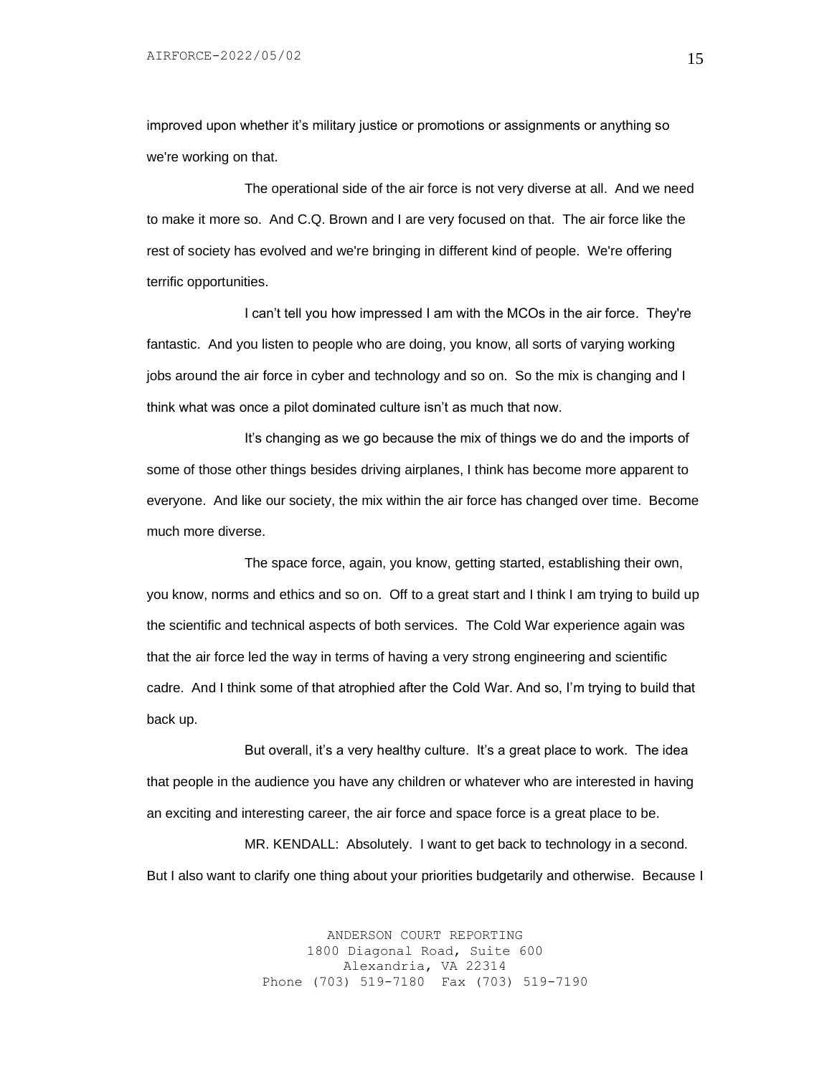improved upon whether it's military justice or promotions or assignments or anything so we're working on that.

The operational side of the air force is not very diverse at all. And we need to make it more so. And C.Q. Brown and I are very focused on that. The air force like the rest of society has evolved and we're bringing in different kind of people. We're offering terrific opportunities.

I can't tell you how impressed I am with the MCOs in the air force. They're fantastic. And you listen to people who are doing, you know, all sorts of varying working jobs around the air force in cyber and technology and so on. So the mix is changing and I think what was once a pilot dominated culture isn't as much that now.

It's changing as we go because the mix of things we do and the imports of some of those other things besides driving airplanes, I think has become more apparent to everyone. And like our society, the mix within the air force has changed over time. Become much more diverse.

The space force, again, you know, getting started, establishing their own, you know, norms and ethics and so on. Off to a great start and I think I am trying to build up the scientific and technical aspects of both services. The Cold War experience again was that the air force led the way in terms of having a very strong engineering and scientific cadre. And I think some of that atrophied after the Cold War. And so, I'm trying to build that back up.

But overall, it's a very healthy culture. It's a great place to work. The idea that people in the audience you have any children or whatever who are interested in having an exciting and interesting career, the air force and space force is a great place to be.

MR. KENDALL: Absolutely. I want to get back to technology in a second. But I also want to clarify one thing about your priorities budgetarily and otherwise. Because I

> ANDERSON COURT REPORTING 1800 Diagonal Road, Suite 600 Alexandria, VA 22314 Phone (703) 519-7180 Fax (703) 519-7190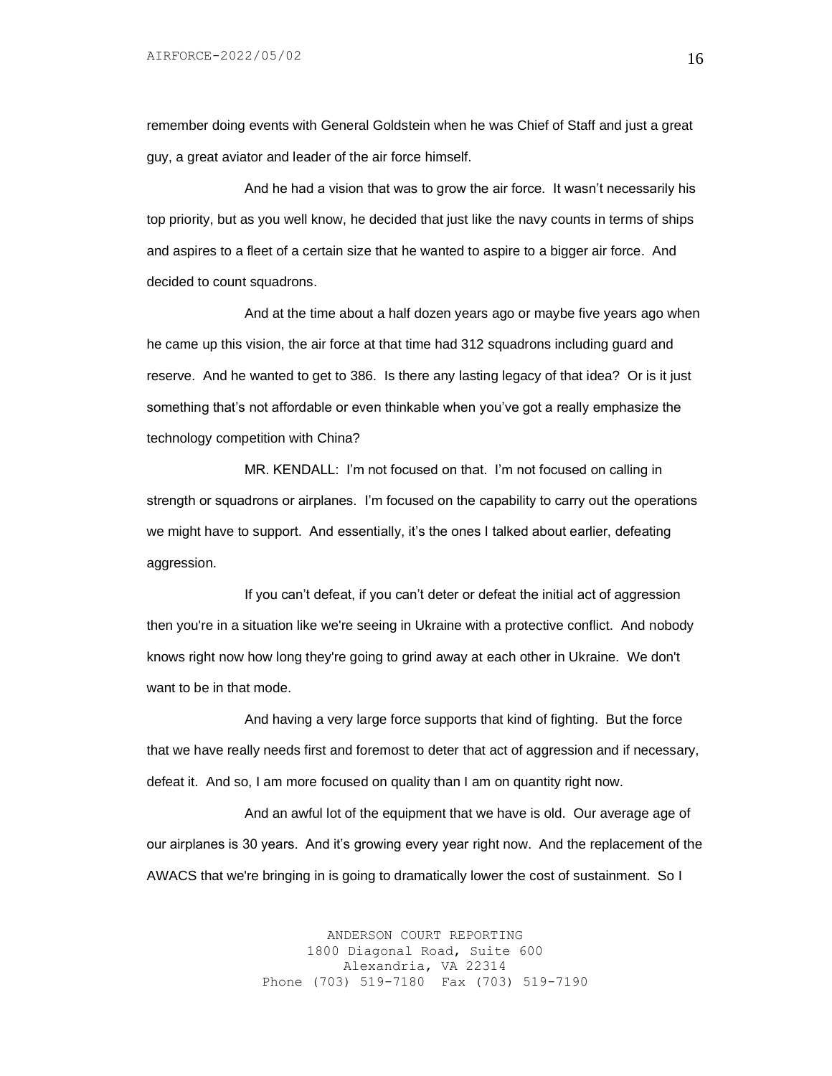remember doing events with General Goldstein when he was Chief of Staff and just a great guy, a great aviator and leader of the air force himself.

And he had a vision that was to grow the air force. It wasn't necessarily his top priority, but as you well know, he decided that just like the navy counts in terms of ships and aspires to a fleet of a certain size that he wanted to aspire to a bigger air force. And decided to count squadrons.

And at the time about a half dozen years ago or maybe five years ago when he came up this vision, the air force at that time had 312 squadrons including guard and reserve. And he wanted to get to 386. Is there any lasting legacy of that idea? Or is it just something that's not affordable or even thinkable when you've got a really emphasize the technology competition with China?

MR. KENDALL: I'm not focused on that. I'm not focused on calling in strength or squadrons or airplanes. I'm focused on the capability to carry out the operations we might have to support. And essentially, it's the ones I talked about earlier, defeating aggression.

If you can't defeat, if you can't deter or defeat the initial act of aggression then you're in a situation like we're seeing in Ukraine with a protective conflict. And nobody knows right now how long they're going to grind away at each other in Ukraine. We don't want to be in that mode.

And having a very large force supports that kind of fighting. But the force that we have really needs first and foremost to deter that act of aggression and if necessary, defeat it. And so, I am more focused on quality than I am on quantity right now.

And an awful lot of the equipment that we have is old. Our average age of our airplanes is 30 years. And it's growing every year right now. And the replacement of the AWACS that we're bringing in is going to dramatically lower the cost of sustainment. So I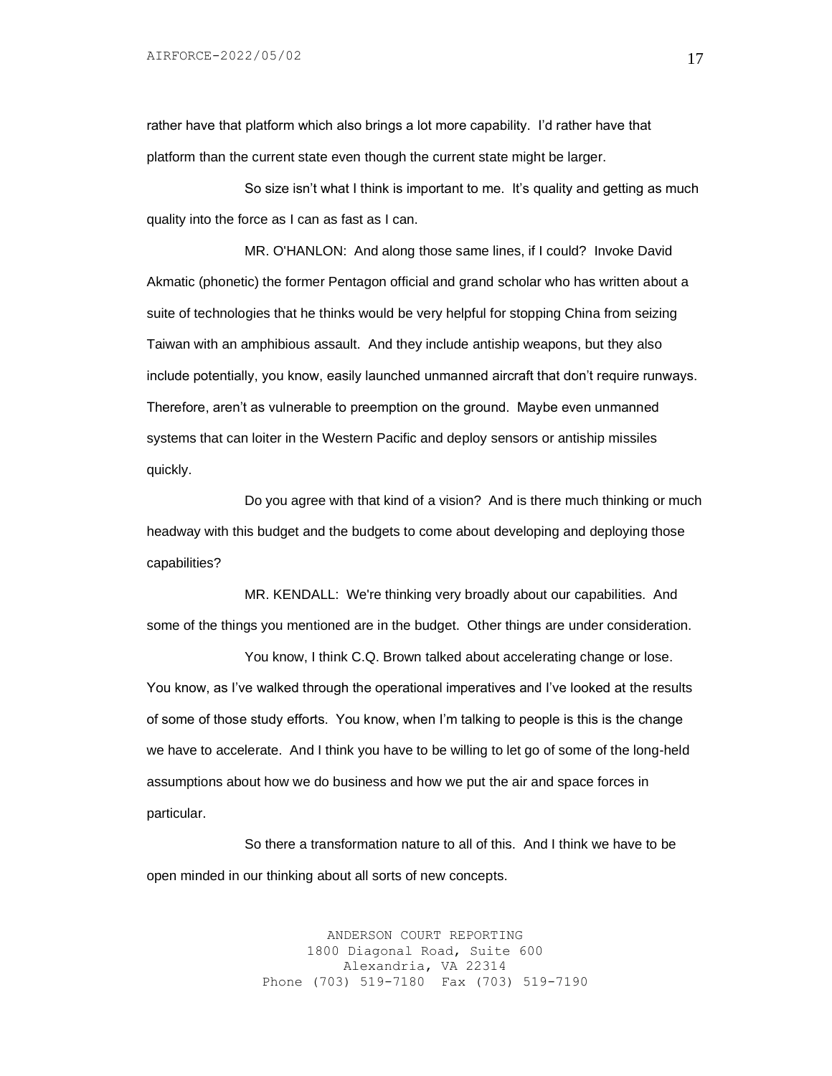rather have that platform which also brings a lot more capability. I'd rather have that platform than the current state even though the current state might be larger.

So size isn't what I think is important to me. It's quality and getting as much quality into the force as I can as fast as I can.

MR. O'HANLON: And along those same lines, if I could? Invoke David Akmatic (phonetic) the former Pentagon official and grand scholar who has written about a suite of technologies that he thinks would be very helpful for stopping China from seizing Taiwan with an amphibious assault. And they include antiship weapons, but they also include potentially, you know, easily launched unmanned aircraft that don't require runways. Therefore, aren't as vulnerable to preemption on the ground. Maybe even unmanned systems that can loiter in the Western Pacific and deploy sensors or antiship missiles quickly.

Do you agree with that kind of a vision? And is there much thinking or much headway with this budget and the budgets to come about developing and deploying those capabilities?

MR. KENDALL: We're thinking very broadly about our capabilities. And some of the things you mentioned are in the budget. Other things are under consideration.

You know, I think C.Q. Brown talked about accelerating change or lose. You know, as I've walked through the operational imperatives and I've looked at the results of some of those study efforts. You know, when I'm talking to people is this is the change we have to accelerate. And I think you have to be willing to let go of some of the long-held assumptions about how we do business and how we put the air and space forces in particular.

So there a transformation nature to all of this. And I think we have to be open minded in our thinking about all sorts of new concepts.

> ANDERSON COURT REPORTING 1800 Diagonal Road, Suite 600 Alexandria, VA 22314 Phone (703) 519-7180 Fax (703) 519-7190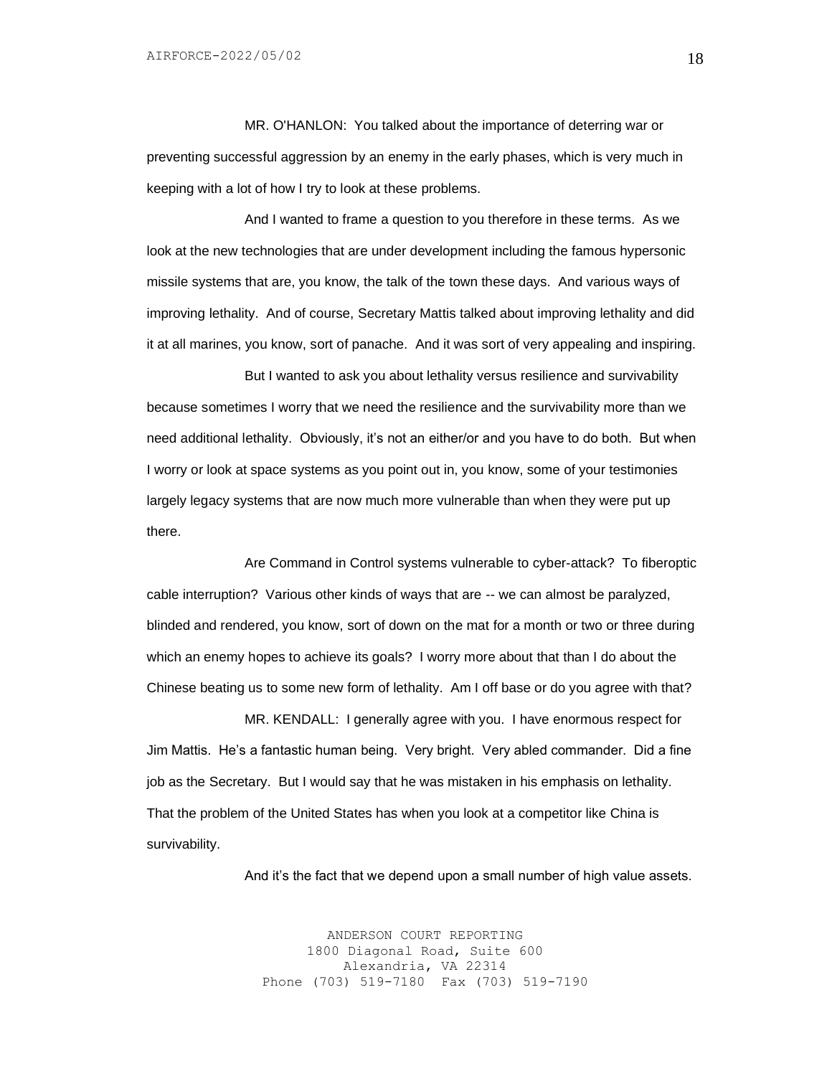MR. O'HANLON: You talked about the importance of deterring war or preventing successful aggression by an enemy in the early phases, which is very much in keeping with a lot of how I try to look at these problems.

And I wanted to frame a question to you therefore in these terms. As we look at the new technologies that are under development including the famous hypersonic missile systems that are, you know, the talk of the town these days. And various ways of improving lethality. And of course, Secretary Mattis talked about improving lethality and did it at all marines, you know, sort of panache. And it was sort of very appealing and inspiring.

But I wanted to ask you about lethality versus resilience and survivability because sometimes I worry that we need the resilience and the survivability more than we need additional lethality. Obviously, it's not an either/or and you have to do both. But when I worry or look at space systems as you point out in, you know, some of your testimonies largely legacy systems that are now much more vulnerable than when they were put up there.

Are Command in Control systems vulnerable to cyber-attack? To fiberoptic cable interruption? Various other kinds of ways that are -- we can almost be paralyzed, blinded and rendered, you know, sort of down on the mat for a month or two or three during which an enemy hopes to achieve its goals? I worry more about that than I do about the Chinese beating us to some new form of lethality. Am I off base or do you agree with that?

MR. KENDALL: I generally agree with you. I have enormous respect for Jim Mattis. He's a fantastic human being. Very bright. Very abled commander. Did a fine job as the Secretary. But I would say that he was mistaken in his emphasis on lethality. That the problem of the United States has when you look at a competitor like China is survivability.

And it's the fact that we depend upon a small number of high value assets.

ANDERSON COURT REPORTING 1800 Diagonal Road, Suite 600 Alexandria, VA 22314 Phone (703) 519-7180 Fax (703) 519-7190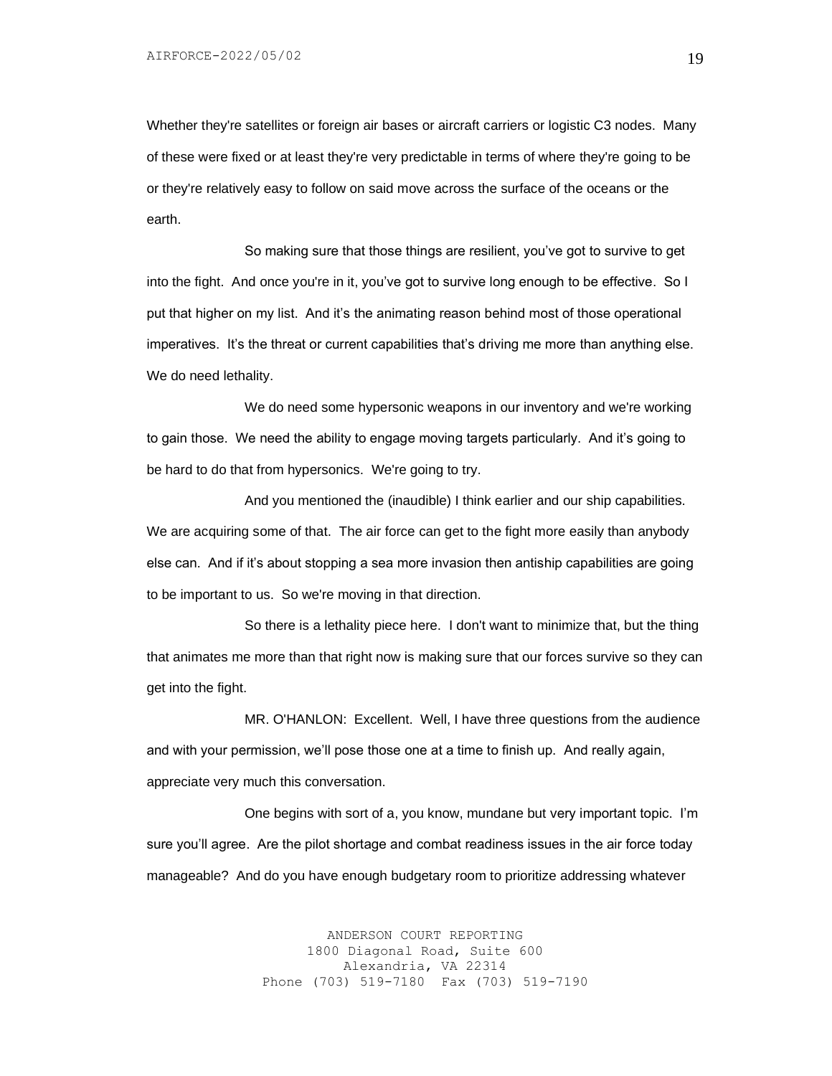Whether they're satellites or foreign air bases or aircraft carriers or logistic C3 nodes. Many of these were fixed or at least they're very predictable in terms of where they're going to be or they're relatively easy to follow on said move across the surface of the oceans or the earth.

So making sure that those things are resilient, you've got to survive to get into the fight. And once you're in it, you've got to survive long enough to be effective. So I put that higher on my list. And it's the animating reason behind most of those operational imperatives. It's the threat or current capabilities that's driving me more than anything else. We do need lethality.

We do need some hypersonic weapons in our inventory and we're working to gain those. We need the ability to engage moving targets particularly. And it's going to be hard to do that from hypersonics. We're going to try.

And you mentioned the (inaudible) I think earlier and our ship capabilities. We are acquiring some of that. The air force can get to the fight more easily than anybody else can. And if it's about stopping a sea more invasion then antiship capabilities are going to be important to us. So we're moving in that direction.

So there is a lethality piece here. I don't want to minimize that, but the thing that animates me more than that right now is making sure that our forces survive so they can get into the fight.

MR. O'HANLON: Excellent. Well, I have three questions from the audience and with your permission, we'll pose those one at a time to finish up. And really again, appreciate very much this conversation.

One begins with sort of a, you know, mundane but very important topic. I'm sure you'll agree. Are the pilot shortage and combat readiness issues in the air force today manageable? And do you have enough budgetary room to prioritize addressing whatever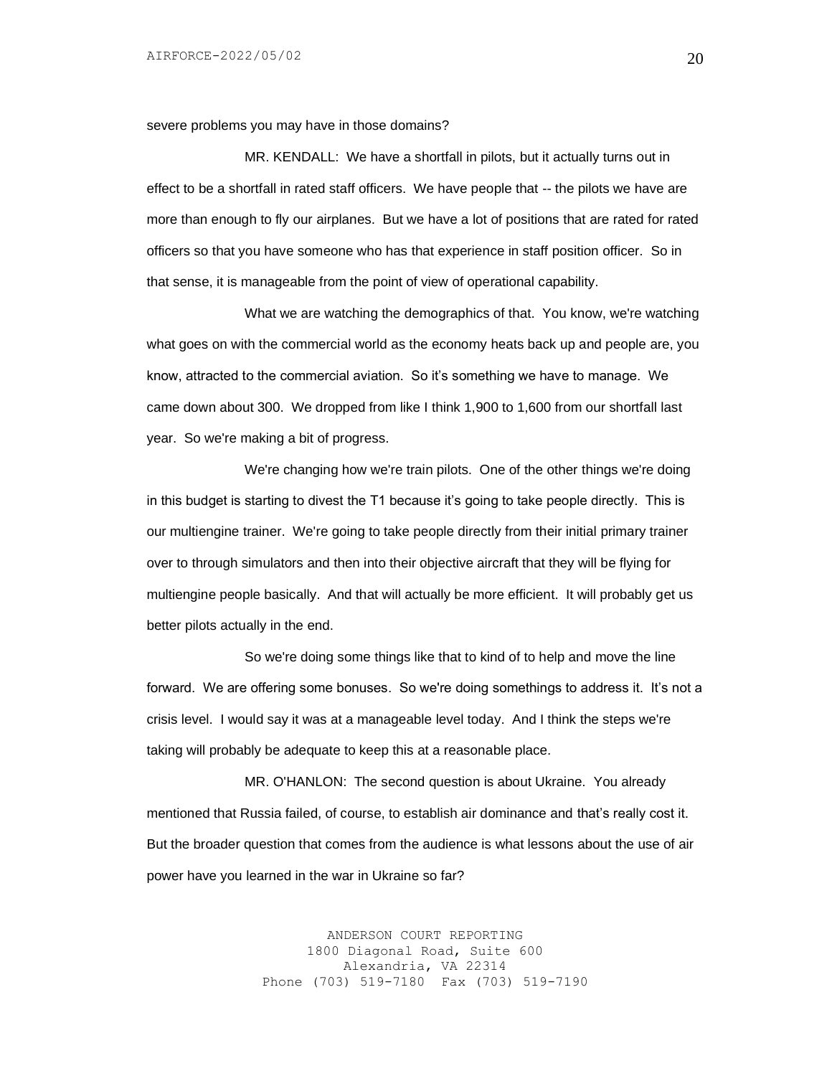severe problems you may have in those domains?

MR. KENDALL: We have a shortfall in pilots, but it actually turns out in effect to be a shortfall in rated staff officers. We have people that -- the pilots we have are more than enough to fly our airplanes. But we have a lot of positions that are rated for rated officers so that you have someone who has that experience in staff position officer. So in that sense, it is manageable from the point of view of operational capability.

What we are watching the demographics of that. You know, we're watching what goes on with the commercial world as the economy heats back up and people are, you know, attracted to the commercial aviation. So it's something we have to manage. We came down about 300. We dropped from like I think 1,900 to 1,600 from our shortfall last year. So we're making a bit of progress.

We're changing how we're train pilots. One of the other things we're doing in this budget is starting to divest the T1 because it's going to take people directly. This is our multiengine trainer. We're going to take people directly from their initial primary trainer over to through simulators and then into their objective aircraft that they will be flying for multiengine people basically. And that will actually be more efficient. It will probably get us better pilots actually in the end.

So we're doing some things like that to kind of to help and move the line forward. We are offering some bonuses. So we're doing somethings to address it. It's not a crisis level. I would say it was at a manageable level today. And I think the steps we're taking will probably be adequate to keep this at a reasonable place.

MR. O'HANLON: The second question is about Ukraine. You already mentioned that Russia failed, of course, to establish air dominance and that's really cost it. But the broader question that comes from the audience is what lessons about the use of air power have you learned in the war in Ukraine so far?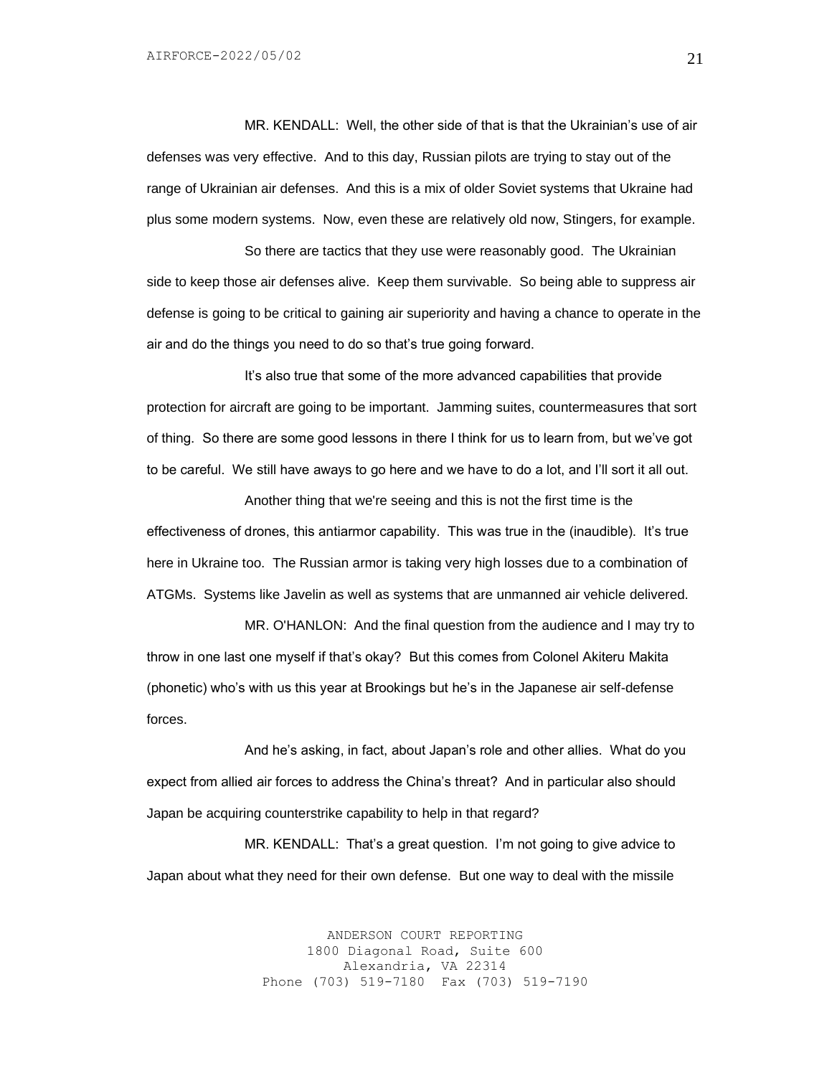MR. KENDALL: Well, the other side of that is that the Ukrainian's use of air defenses was very effective. And to this day, Russian pilots are trying to stay out of the range of Ukrainian air defenses. And this is a mix of older Soviet systems that Ukraine had plus some modern systems. Now, even these are relatively old now, Stingers, for example.

So there are tactics that they use were reasonably good. The Ukrainian side to keep those air defenses alive. Keep them survivable. So being able to suppress air defense is going to be critical to gaining air superiority and having a chance to operate in the air and do the things you need to do so that's true going forward.

It's also true that some of the more advanced capabilities that provide protection for aircraft are going to be important. Jamming suites, countermeasures that sort of thing. So there are some good lessons in there I think for us to learn from, but we've got to be careful. We still have aways to go here and we have to do a lot, and I'll sort it all out.

Another thing that we're seeing and this is not the first time is the effectiveness of drones, this antiarmor capability. This was true in the (inaudible). It's true here in Ukraine too. The Russian armor is taking very high losses due to a combination of ATGMs. Systems like Javelin as well as systems that are unmanned air vehicle delivered.

MR. O'HANLON: And the final question from the audience and I may try to throw in one last one myself if that's okay? But this comes from Colonel Akiteru Makita (phonetic) who's with us this year at Brookings but he's in the Japanese air self-defense forces.

And he's asking, in fact, about Japan's role and other allies. What do you expect from allied air forces to address the China's threat? And in particular also should Japan be acquiring counterstrike capability to help in that regard?

MR. KENDALL: That's a great question. I'm not going to give advice to Japan about what they need for their own defense. But one way to deal with the missile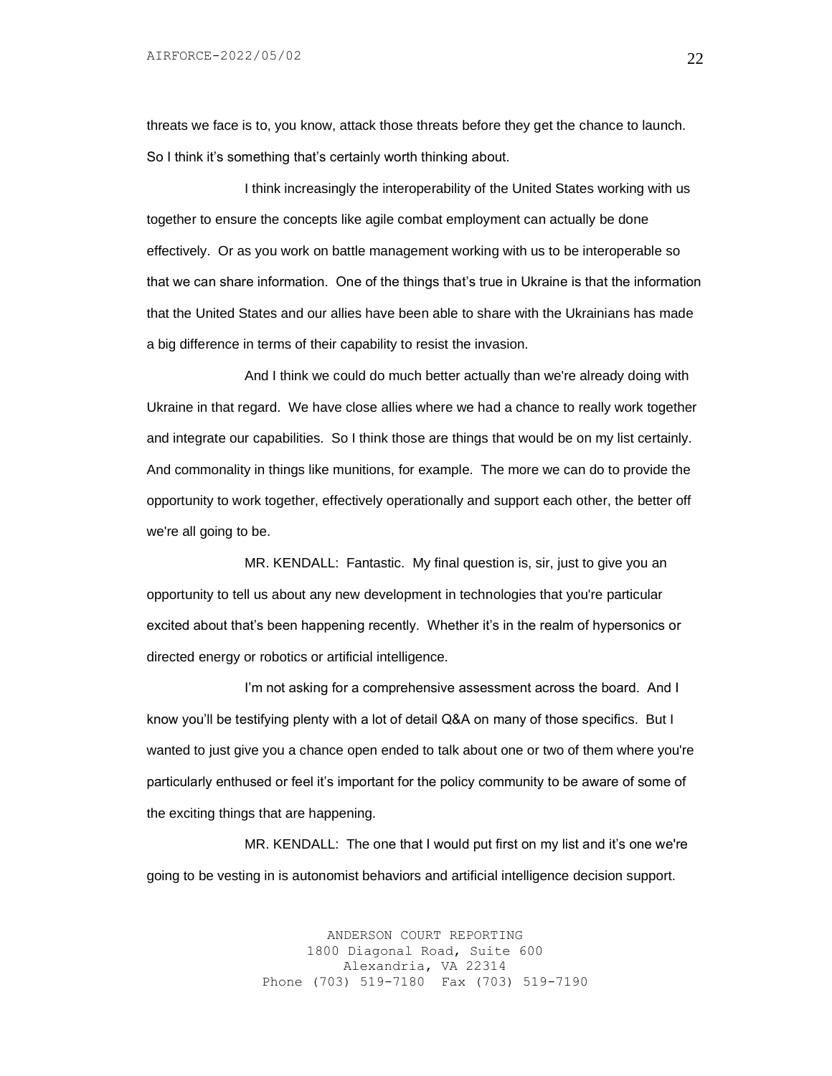threats we face is to, you know, attack those threats before they get the chance to launch. So I think it's something that's certainly worth thinking about.

I think increasingly the interoperability of the United States working with us together to ensure the concepts like agile combat employment can actually be done effectively. Or as you work on battle management working with us to be interoperable so that we can share information. One of the things that's true in Ukraine is that the information that the United States and our allies have been able to share with the Ukrainians has made a big difference in terms of their capability to resist the invasion.

And I think we could do much better actually than we're already doing with Ukraine in that regard. We have close allies where we had a chance to really work together and integrate our capabilities. So I think those are things that would be on my list certainly. And commonality in things like munitions, for example. The more we can do to provide the opportunity to work together, effectively operationally and support each other, the better off we're all going to be.

MR. KENDALL: Fantastic. My final question is, sir, just to give you an opportunity to tell us about any new development in technologies that you're particular excited about that's been happening recently. Whether it's in the realm of hypersonics or directed energy or robotics or artificial intelligence.

I'm not asking for a comprehensive assessment across the board. And I know you'll be testifying plenty with a lot of detail Q&A on many of those specifics. But I wanted to just give you a chance open ended to talk about one or two of them where you're particularly enthused or feel it's important for the policy community to be aware of some of the exciting things that are happening.

MR. KENDALL: The one that I would put first on my list and it's one we're going to be vesting in is autonomist behaviors and artificial intelligence decision support.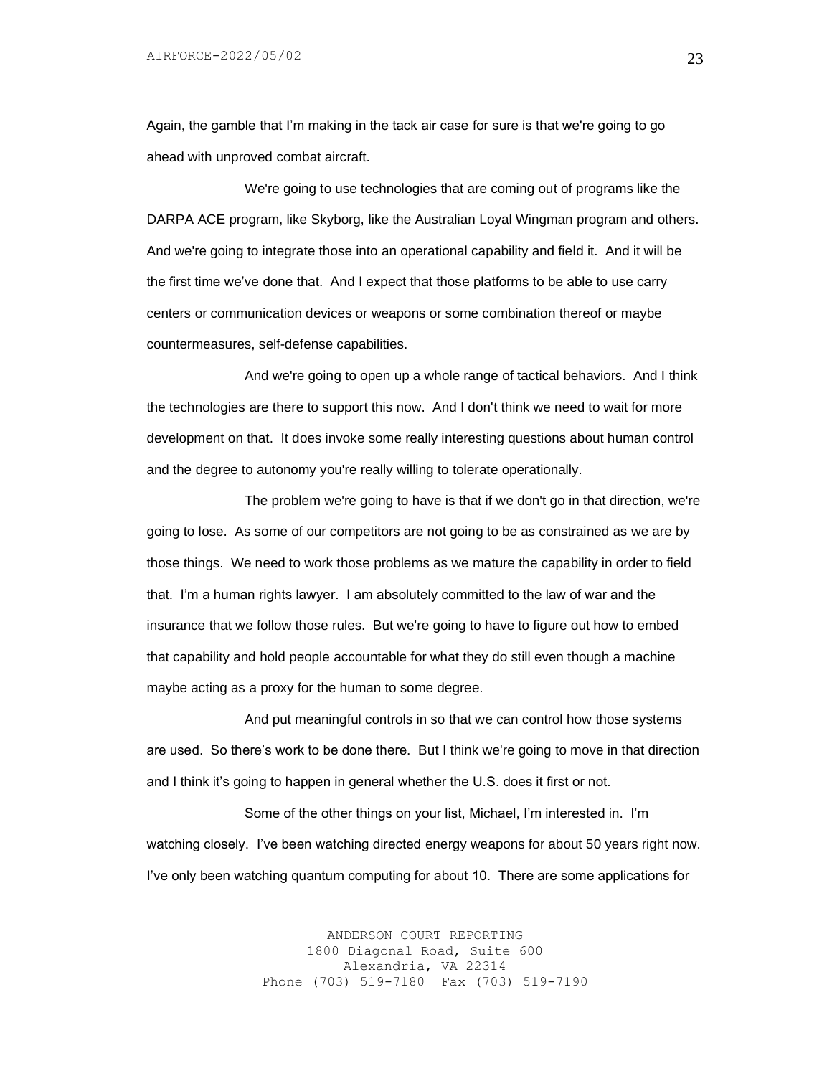Again, the gamble that I'm making in the tack air case for sure is that we're going to go ahead with unproved combat aircraft.

We're going to use technologies that are coming out of programs like the DARPA ACE program, like Skyborg, like the Australian Loyal Wingman program and others. And we're going to integrate those into an operational capability and field it. And it will be the first time we've done that. And I expect that those platforms to be able to use carry centers or communication devices or weapons or some combination thereof or maybe countermeasures, self-defense capabilities.

And we're going to open up a whole range of tactical behaviors. And I think the technologies are there to support this now. And I don't think we need to wait for more development on that. It does invoke some really interesting questions about human control and the degree to autonomy you're really willing to tolerate operationally.

The problem we're going to have is that if we don't go in that direction, we're going to lose. As some of our competitors are not going to be as constrained as we are by those things. We need to work those problems as we mature the capability in order to field that. I'm a human rights lawyer. I am absolutely committed to the law of war and the insurance that we follow those rules. But we're going to have to figure out how to embed that capability and hold people accountable for what they do still even though a machine maybe acting as a proxy for the human to some degree.

And put meaningful controls in so that we can control how those systems are used. So there's work to be done there. But I think we're going to move in that direction and I think it's going to happen in general whether the U.S. does it first or not.

Some of the other things on your list, Michael, I'm interested in. I'm watching closely. I've been watching directed energy weapons for about 50 years right now. I've only been watching quantum computing for about 10. There are some applications for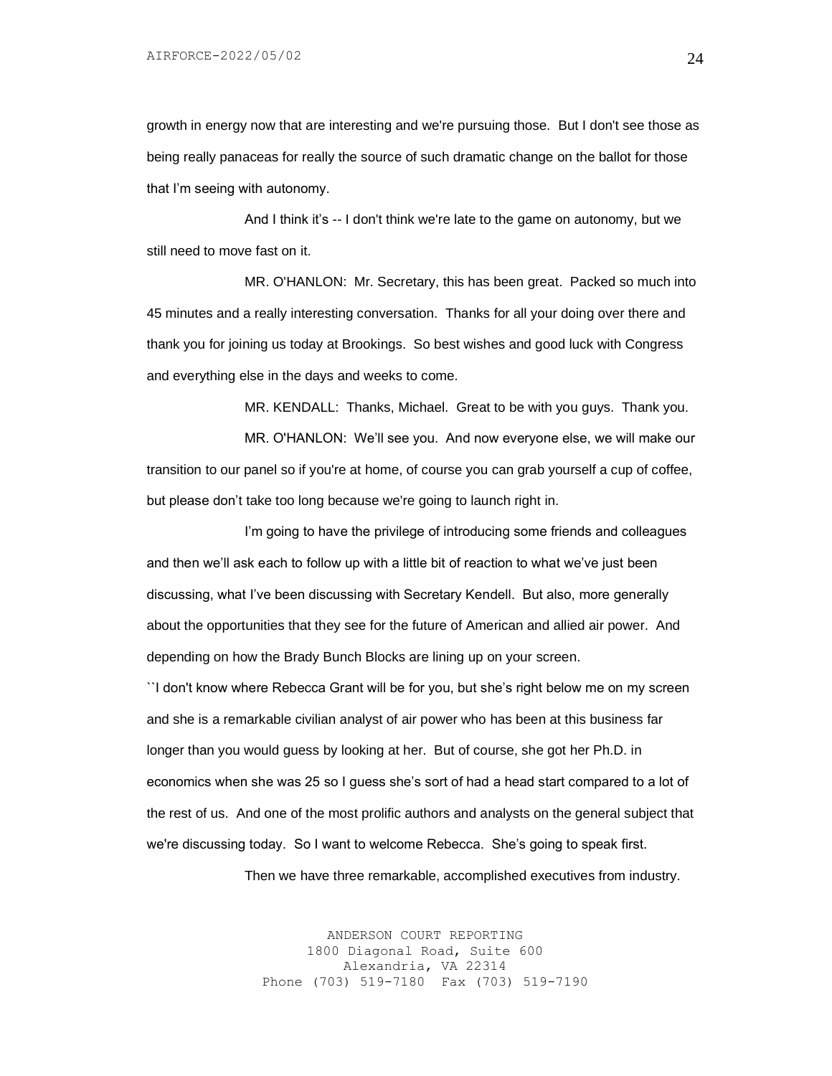growth in energy now that are interesting and we're pursuing those. But I don't see those as being really panaceas for really the source of such dramatic change on the ballot for those that I'm seeing with autonomy.

And I think it's -- I don't think we're late to the game on autonomy, but we still need to move fast on it.

MR. O'HANLON: Mr. Secretary, this has been great. Packed so much into 45 minutes and a really interesting conversation. Thanks for all your doing over there and thank you for joining us today at Brookings. So best wishes and good luck with Congress and everything else in the days and weeks to come.

MR. KENDALL: Thanks, Michael. Great to be with you guys. Thank you.

MR. O'HANLON: We'll see you. And now everyone else, we will make our transition to our panel so if you're at home, of course you can grab yourself a cup of coffee, but please don't take too long because we're going to launch right in.

I'm going to have the privilege of introducing some friends and colleagues and then we'll ask each to follow up with a little bit of reaction to what we've just been discussing, what I've been discussing with Secretary Kendell. But also, more generally about the opportunities that they see for the future of American and allied air power. And depending on how the Brady Bunch Blocks are lining up on your screen.

``I don't know where Rebecca Grant will be for you, but she's right below me on my screen and she is a remarkable civilian analyst of air power who has been at this business far longer than you would guess by looking at her. But of course, she got her Ph.D. in economics when she was 25 so I guess she's sort of had a head start compared to a lot of the rest of us. And one of the most prolific authors and analysts on the general subject that we're discussing today. So I want to welcome Rebecca. She's going to speak first.

Then we have three remarkable, accomplished executives from industry.

ANDERSON COURT REPORTING 1800 Diagonal Road, Suite 600 Alexandria, VA 22314 Phone (703) 519-7180 Fax (703) 519-7190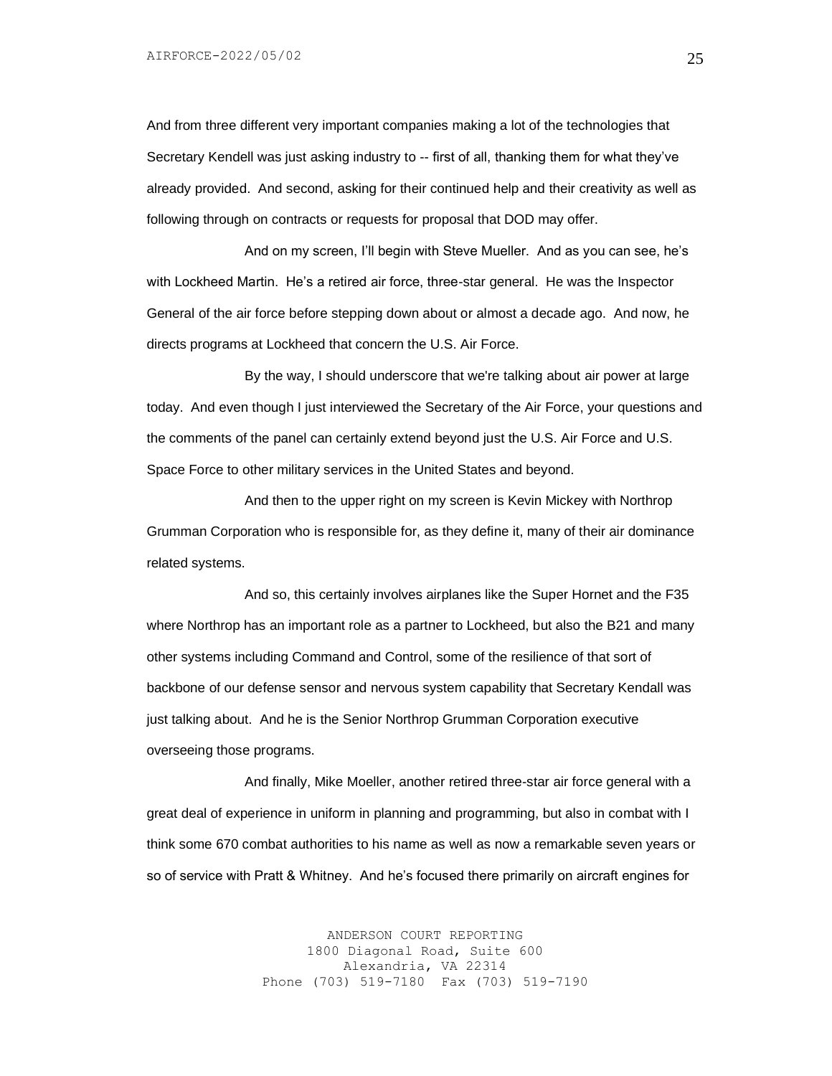And from three different very important companies making a lot of the technologies that Secretary Kendell was just asking industry to -- first of all, thanking them for what they've already provided. And second, asking for their continued help and their creativity as well as following through on contracts or requests for proposal that DOD may offer.

And on my screen, I'll begin with Steve Mueller. And as you can see, he's with Lockheed Martin. He's a retired air force, three-star general. He was the Inspector General of the air force before stepping down about or almost a decade ago. And now, he directs programs at Lockheed that concern the U.S. Air Force.

By the way, I should underscore that we're talking about air power at large today. And even though I just interviewed the Secretary of the Air Force, your questions and the comments of the panel can certainly extend beyond just the U.S. Air Force and U.S. Space Force to other military services in the United States and beyond.

And then to the upper right on my screen is Kevin Mickey with Northrop Grumman Corporation who is responsible for, as they define it, many of their air dominance related systems.

And so, this certainly involves airplanes like the Super Hornet and the F35 where Northrop has an important role as a partner to Lockheed, but also the B21 and many other systems including Command and Control, some of the resilience of that sort of backbone of our defense sensor and nervous system capability that Secretary Kendall was just talking about. And he is the Senior Northrop Grumman Corporation executive overseeing those programs.

And finally, Mike Moeller, another retired three-star air force general with a great deal of experience in uniform in planning and programming, but also in combat with I think some 670 combat authorities to his name as well as now a remarkable seven years or so of service with Pratt & Whitney. And he's focused there primarily on aircraft engines for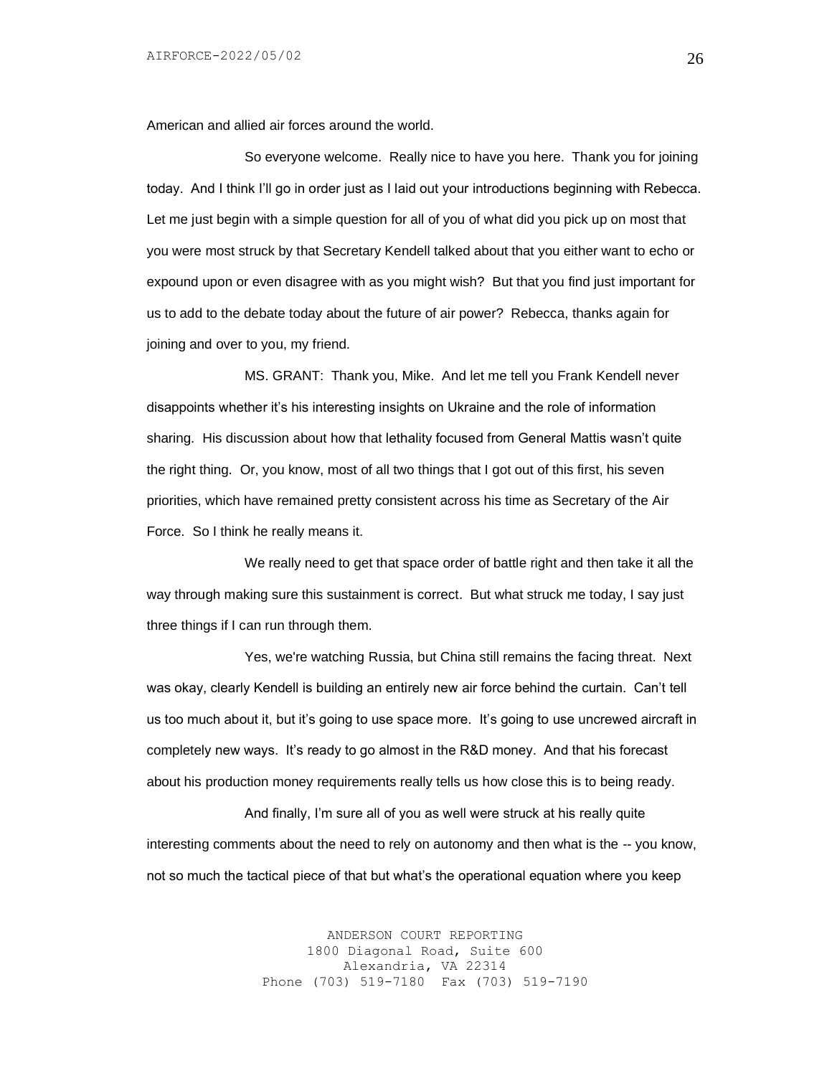American and allied air forces around the world.

So everyone welcome. Really nice to have you here. Thank you for joining today. And I think I'll go in order just as I laid out your introductions beginning with Rebecca. Let me just begin with a simple question for all of you of what did you pick up on most that you were most struck by that Secretary Kendell talked about that you either want to echo or expound upon or even disagree with as you might wish? But that you find just important for us to add to the debate today about the future of air power? Rebecca, thanks again for joining and over to you, my friend.

MS. GRANT: Thank you, Mike. And let me tell you Frank Kendell never disappoints whether it's his interesting insights on Ukraine and the role of information sharing. His discussion about how that lethality focused from General Mattis wasn't quite the right thing. Or, you know, most of all two things that I got out of this first, his seven priorities, which have remained pretty consistent across his time as Secretary of the Air Force. So I think he really means it.

We really need to get that space order of battle right and then take it all the way through making sure this sustainment is correct. But what struck me today, I say just three things if I can run through them.

Yes, we're watching Russia, but China still remains the facing threat. Next was okay, clearly Kendell is building an entirely new air force behind the curtain. Can't tell us too much about it, but it's going to use space more. It's going to use uncrewed aircraft in completely new ways. It's ready to go almost in the R&D money. And that his forecast about his production money requirements really tells us how close this is to being ready.

And finally, I'm sure all of you as well were struck at his really quite interesting comments about the need to rely on autonomy and then what is the -- you know, not so much the tactical piece of that but what's the operational equation where you keep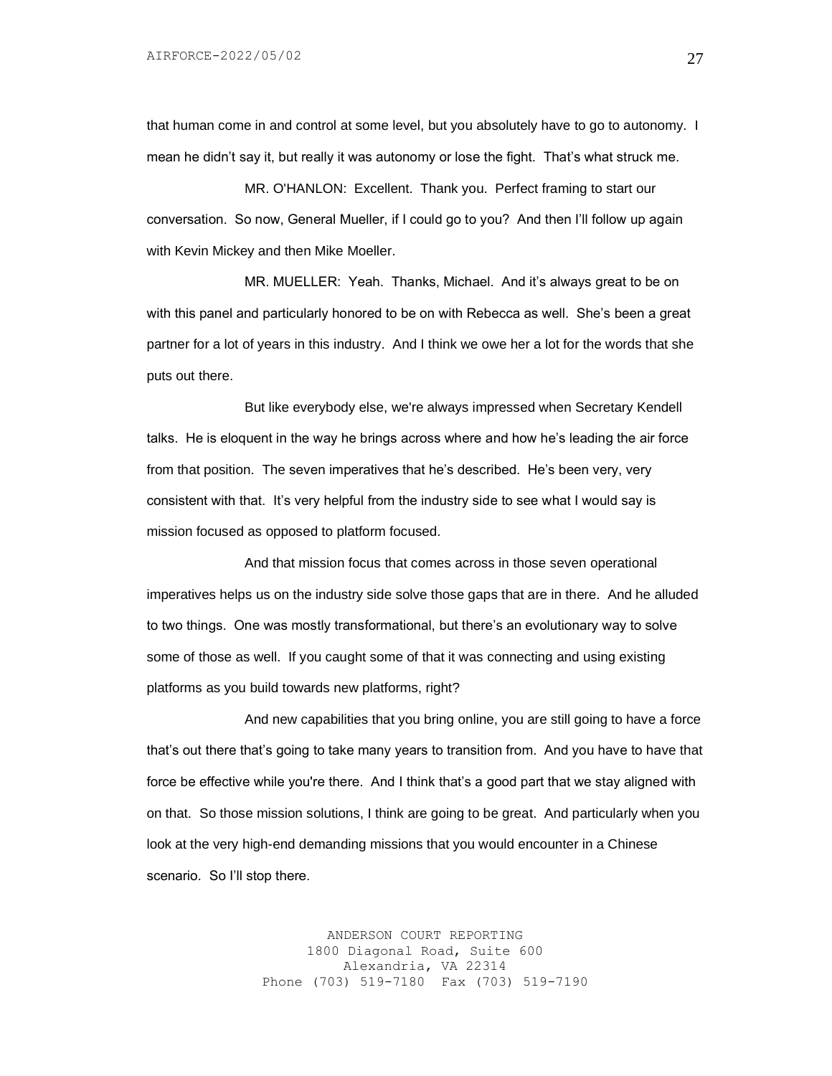that human come in and control at some level, but you absolutely have to go to autonomy. I mean he didn't say it, but really it was autonomy or lose the fight. That's what struck me.

MR. O'HANLON: Excellent. Thank you. Perfect framing to start our conversation. So now, General Mueller, if I could go to you? And then I'll follow up again with Kevin Mickey and then Mike Moeller.

MR. MUELLER: Yeah. Thanks, Michael. And it's always great to be on with this panel and particularly honored to be on with Rebecca as well. She's been a great partner for a lot of years in this industry. And I think we owe her a lot for the words that she puts out there.

But like everybody else, we're always impressed when Secretary Kendell talks. He is eloquent in the way he brings across where and how he's leading the air force from that position. The seven imperatives that he's described. He's been very, very consistent with that. It's very helpful from the industry side to see what I would say is mission focused as opposed to platform focused.

And that mission focus that comes across in those seven operational imperatives helps us on the industry side solve those gaps that are in there. And he alluded to two things. One was mostly transformational, but there's an evolutionary way to solve some of those as well. If you caught some of that it was connecting and using existing platforms as you build towards new platforms, right?

And new capabilities that you bring online, you are still going to have a force that's out there that's going to take many years to transition from. And you have to have that force be effective while you're there. And I think that's a good part that we stay aligned with on that. So those mission solutions, I think are going to be great. And particularly when you look at the very high-end demanding missions that you would encounter in a Chinese scenario. So I'll stop there.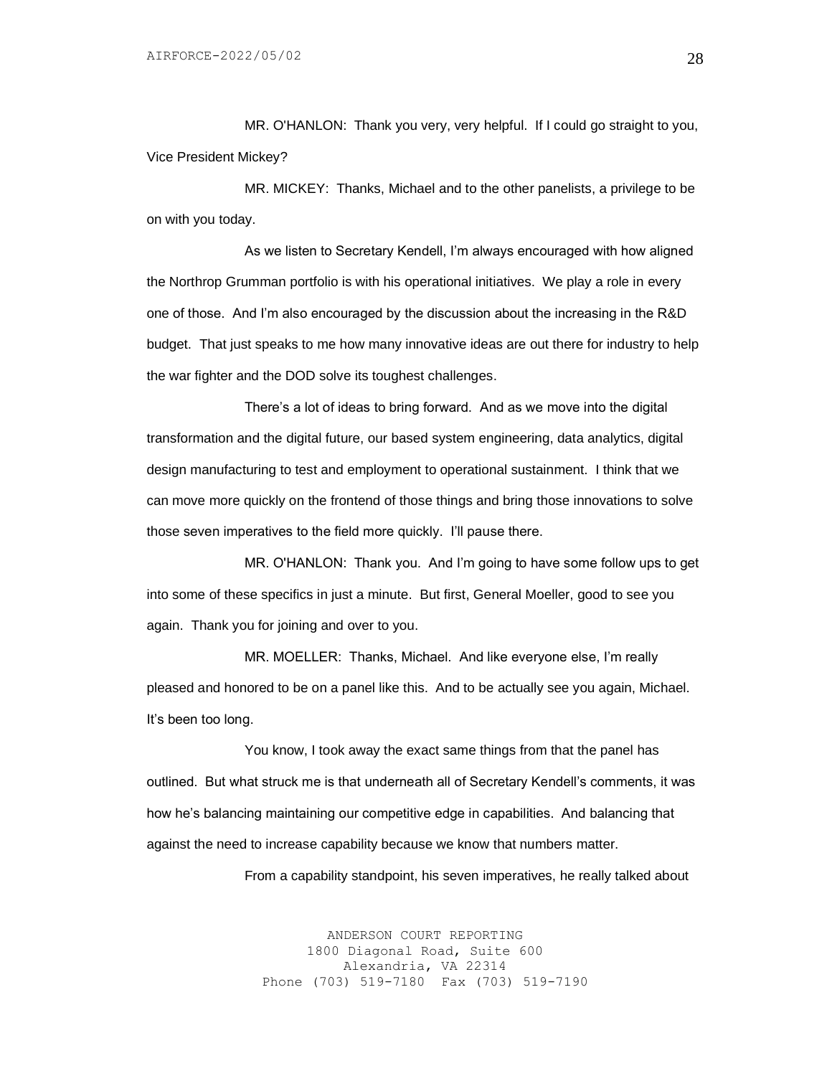MR. O'HANLON: Thank you very, very helpful. If I could go straight to you, Vice President Mickey?

MR. MICKEY: Thanks, Michael and to the other panelists, a privilege to be on with you today.

As we listen to Secretary Kendell, I'm always encouraged with how aligned the Northrop Grumman portfolio is with his operational initiatives. We play a role in every one of those. And I'm also encouraged by the discussion about the increasing in the R&D budget. That just speaks to me how many innovative ideas are out there for industry to help the war fighter and the DOD solve its toughest challenges.

There's a lot of ideas to bring forward. And as we move into the digital transformation and the digital future, our based system engineering, data analytics, digital design manufacturing to test and employment to operational sustainment. I think that we can move more quickly on the frontend of those things and bring those innovations to solve those seven imperatives to the field more quickly. I'll pause there.

MR. O'HANLON: Thank you. And I'm going to have some follow ups to get into some of these specifics in just a minute. But first, General Moeller, good to see you again. Thank you for joining and over to you.

MR. MOELLER: Thanks, Michael. And like everyone else, I'm really pleased and honored to be on a panel like this. And to be actually see you again, Michael. It's been too long.

You know, I took away the exact same things from that the panel has outlined. But what struck me is that underneath all of Secretary Kendell's comments, it was how he's balancing maintaining our competitive edge in capabilities. And balancing that against the need to increase capability because we know that numbers matter.

From a capability standpoint, his seven imperatives, he really talked about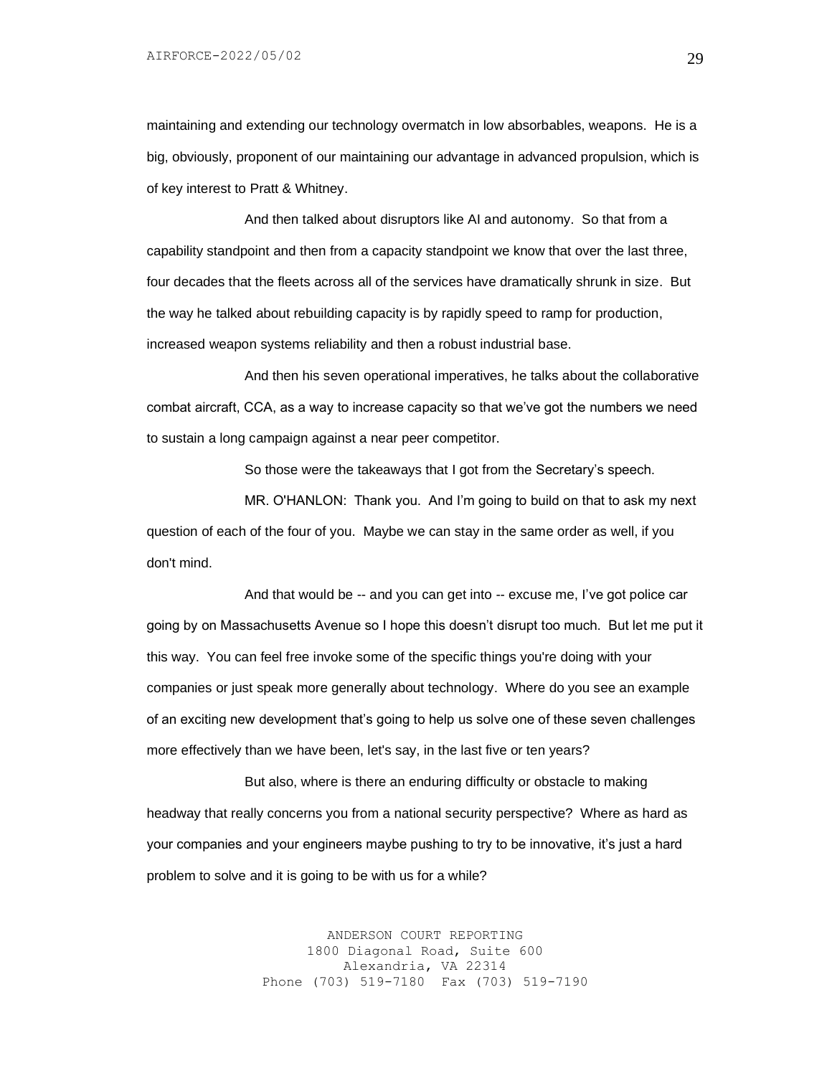maintaining and extending our technology overmatch in low absorbables, weapons. He is a big, obviously, proponent of our maintaining our advantage in advanced propulsion, which is of key interest to Pratt & Whitney.

And then talked about disruptors like AI and autonomy. So that from a capability standpoint and then from a capacity standpoint we know that over the last three, four decades that the fleets across all of the services have dramatically shrunk in size. But the way he talked about rebuilding capacity is by rapidly speed to ramp for production, increased weapon systems reliability and then a robust industrial base.

And then his seven operational imperatives, he talks about the collaborative combat aircraft, CCA, as a way to increase capacity so that we've got the numbers we need to sustain a long campaign against a near peer competitor.

So those were the takeaways that I got from the Secretary's speech.

MR. O'HANLON: Thank you. And I'm going to build on that to ask my next question of each of the four of you. Maybe we can stay in the same order as well, if you don't mind.

And that would be -- and you can get into -- excuse me, I've got police car going by on Massachusetts Avenue so I hope this doesn't disrupt too much. But let me put it this way. You can feel free invoke some of the specific things you're doing with your companies or just speak more generally about technology. Where do you see an example of an exciting new development that's going to help us solve one of these seven challenges more effectively than we have been, let's say, in the last five or ten years?

But also, where is there an enduring difficulty or obstacle to making headway that really concerns you from a national security perspective? Where as hard as your companies and your engineers maybe pushing to try to be innovative, it's just a hard problem to solve and it is going to be with us for a while?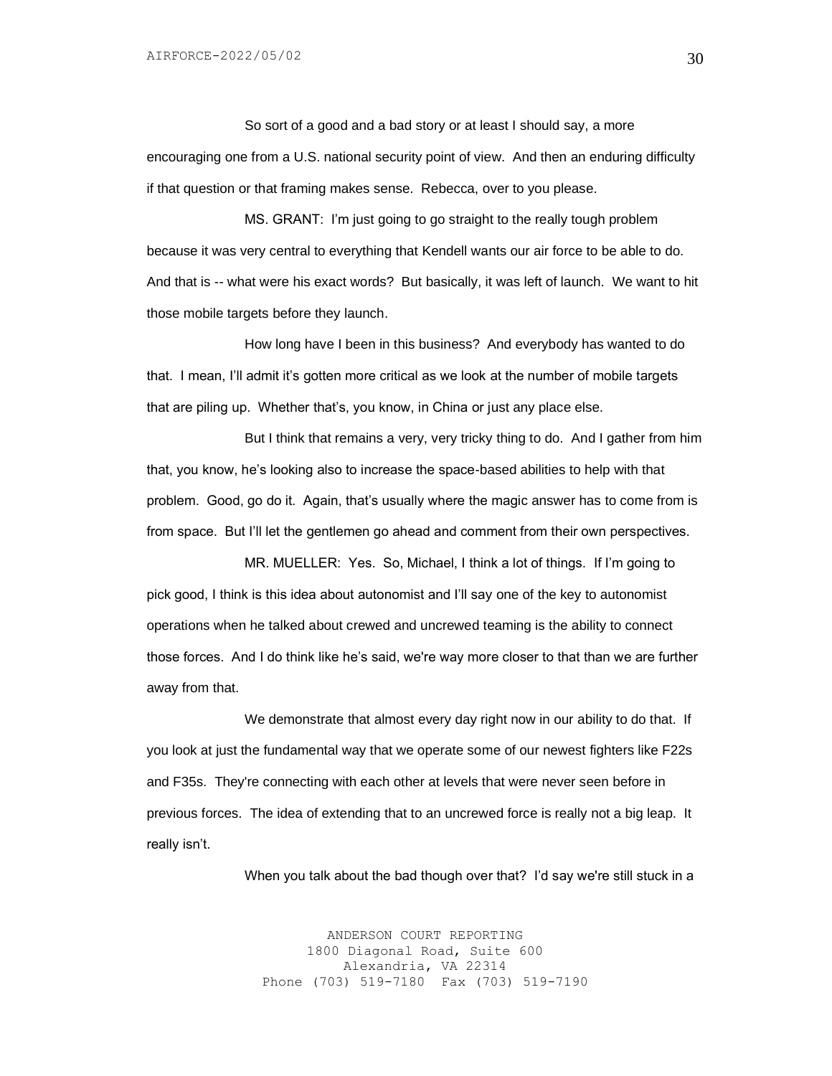So sort of a good and a bad story or at least I should say, a more encouraging one from a U.S. national security point of view. And then an enduring difficulty if that question or that framing makes sense. Rebecca, over to you please.

MS. GRANT: I'm just going to go straight to the really tough problem because it was very central to everything that Kendell wants our air force to be able to do. And that is -- what were his exact words? But basically, it was left of launch. We want to hit those mobile targets before they launch.

How long have I been in this business? And everybody has wanted to do that. I mean, I'll admit it's gotten more critical as we look at the number of mobile targets that are piling up. Whether that's, you know, in China or just any place else.

But I think that remains a very, very tricky thing to do. And I gather from him that, you know, he's looking also to increase the space-based abilities to help with that problem. Good, go do it. Again, that's usually where the magic answer has to come from is from space. But I'll let the gentlemen go ahead and comment from their own perspectives.

MR. MUELLER: Yes. So, Michael, I think a lot of things. If I'm going to pick good, I think is this idea about autonomist and I'll say one of the key to autonomist operations when he talked about crewed and uncrewed teaming is the ability to connect those forces. And I do think like he's said, we're way more closer to that than we are further away from that.

We demonstrate that almost every day right now in our ability to do that. If you look at just the fundamental way that we operate some of our newest fighters like F22s and F35s. They're connecting with each other at levels that were never seen before in previous forces. The idea of extending that to an uncrewed force is really not a big leap. It really isn't.

When you talk about the bad though over that? I'd say we're still stuck in a

ANDERSON COURT REPORTING 1800 Diagonal Road, Suite 600 Alexandria, VA 22314 Phone (703) 519-7180 Fax (703) 519-7190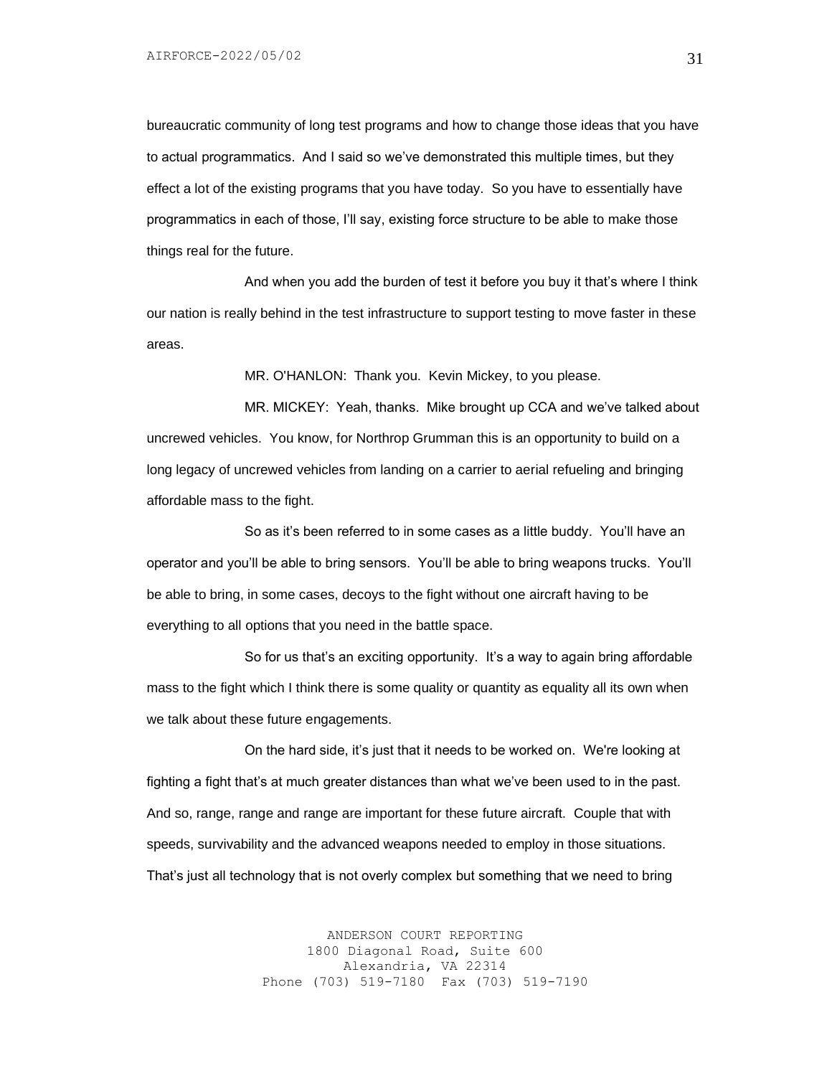bureaucratic community of long test programs and how to change those ideas that you have to actual programmatics. And I said so we've demonstrated this multiple times, but they effect a lot of the existing programs that you have today. So you have to essentially have programmatics in each of those, I'll say, existing force structure to be able to make those things real for the future.

And when you add the burden of test it before you buy it that's where I think our nation is really behind in the test infrastructure to support testing to move faster in these areas.

MR. O'HANLON: Thank you. Kevin Mickey, to you please.

MR. MICKEY: Yeah, thanks. Mike brought up CCA and we've talked about uncrewed vehicles. You know, for Northrop Grumman this is an opportunity to build on a long legacy of uncrewed vehicles from landing on a carrier to aerial refueling and bringing affordable mass to the fight.

So as it's been referred to in some cases as a little buddy. You'll have an operator and you'll be able to bring sensors. You'll be able to bring weapons trucks. You'll be able to bring, in some cases, decoys to the fight without one aircraft having to be everything to all options that you need in the battle space.

So for us that's an exciting opportunity. It's a way to again bring affordable mass to the fight which I think there is some quality or quantity as equality all its own when we talk about these future engagements.

On the hard side, it's just that it needs to be worked on. We're looking at fighting a fight that's at much greater distances than what we've been used to in the past. And so, range, range and range are important for these future aircraft. Couple that with speeds, survivability and the advanced weapons needed to employ in those situations. That's just all technology that is not overly complex but something that we need to bring

> ANDERSON COURT REPORTING 1800 Diagonal Road, Suite 600 Alexandria, VA 22314 Phone (703) 519-7180 Fax (703) 519-7190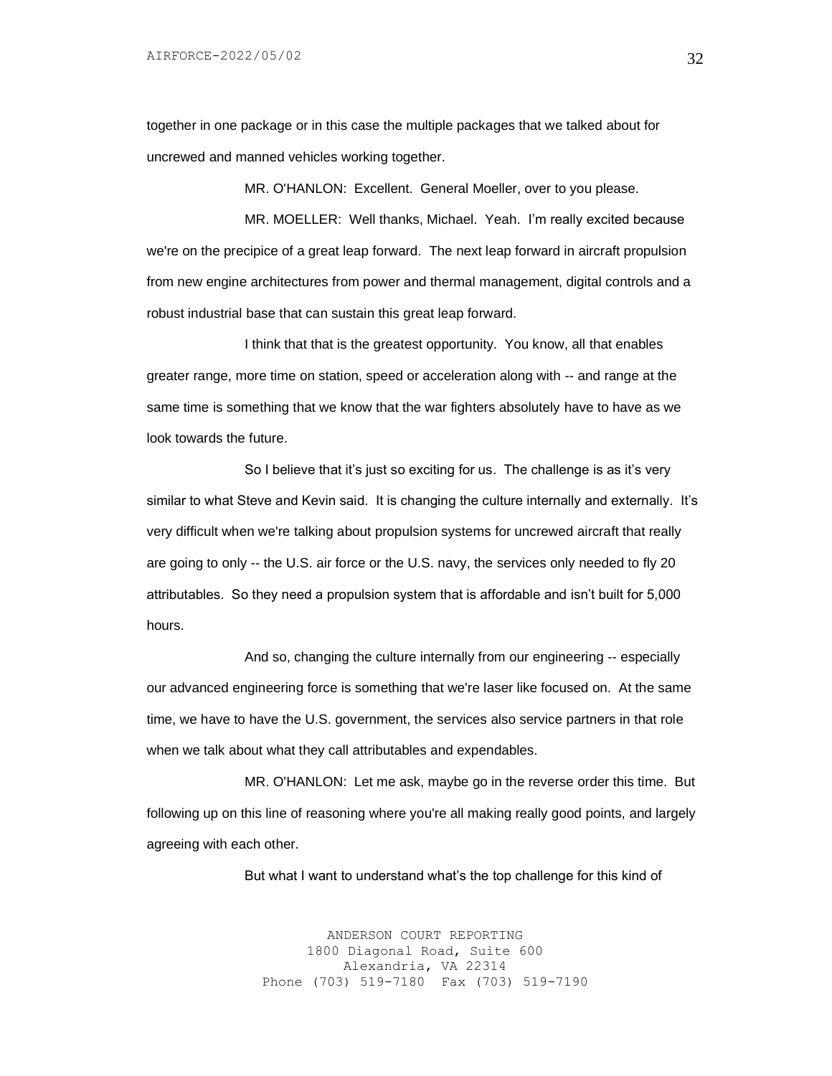together in one package or in this case the multiple packages that we talked about for uncrewed and manned vehicles working together.

MR. O'HANLON: Excellent. General Moeller, over to you please.

MR. MOELLER: Well thanks, Michael. Yeah. I'm really excited because we're on the precipice of a great leap forward. The next leap forward in aircraft propulsion from new engine architectures from power and thermal management, digital controls and a robust industrial base that can sustain this great leap forward.

I think that that is the greatest opportunity. You know, all that enables greater range, more time on station, speed or acceleration along with -- and range at the same time is something that we know that the war fighters absolutely have to have as we look towards the future.

So I believe that it's just so exciting for us. The challenge is as it's very similar to what Steve and Kevin said. It is changing the culture internally and externally. It's very difficult when we're talking about propulsion systems for uncrewed aircraft that really are going to only -- the U.S. air force or the U.S. navy, the services only needed to fly 20 attributables. So they need a propulsion system that is affordable and isn't built for 5,000 hours.

And so, changing the culture internally from our engineering -- especially our advanced engineering force is something that we're laser like focused on. At the same time, we have to have the U.S. government, the services also service partners in that role when we talk about what they call attributables and expendables.

MR. O'HANLON: Let me ask, maybe go in the reverse order this time. But following up on this line of reasoning where you're all making really good points, and largely agreeing with each other.

But what I want to understand what's the top challenge for this kind of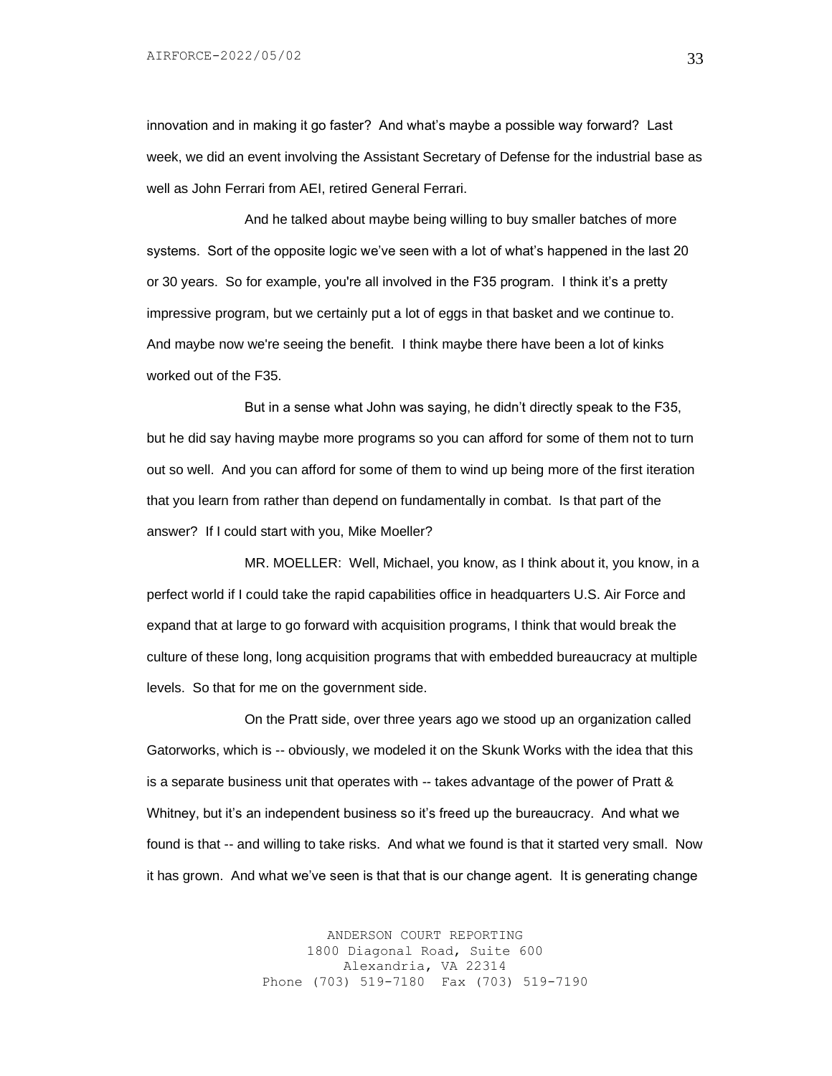innovation and in making it go faster? And what's maybe a possible way forward? Last week, we did an event involving the Assistant Secretary of Defense for the industrial base as well as John Ferrari from AEI, retired General Ferrari.

And he talked about maybe being willing to buy smaller batches of more systems. Sort of the opposite logic we've seen with a lot of what's happened in the last 20 or 30 years. So for example, you're all involved in the F35 program. I think it's a pretty impressive program, but we certainly put a lot of eggs in that basket and we continue to. And maybe now we're seeing the benefit. I think maybe there have been a lot of kinks worked out of the F35.

But in a sense what John was saying, he didn't directly speak to the F35, but he did say having maybe more programs so you can afford for some of them not to turn out so well. And you can afford for some of them to wind up being more of the first iteration that you learn from rather than depend on fundamentally in combat. Is that part of the answer? If I could start with you, Mike Moeller?

MR. MOELLER: Well, Michael, you know, as I think about it, you know, in a perfect world if I could take the rapid capabilities office in headquarters U.S. Air Force and expand that at large to go forward with acquisition programs, I think that would break the culture of these long, long acquisition programs that with embedded bureaucracy at multiple levels. So that for me on the government side.

On the Pratt side, over three years ago we stood up an organization called Gatorworks, which is -- obviously, we modeled it on the Skunk Works with the idea that this is a separate business unit that operates with -- takes advantage of the power of Pratt & Whitney, but it's an independent business so it's freed up the bureaucracy. And what we found is that -- and willing to take risks. And what we found is that it started very small. Now it has grown. And what we've seen is that that is our change agent. It is generating change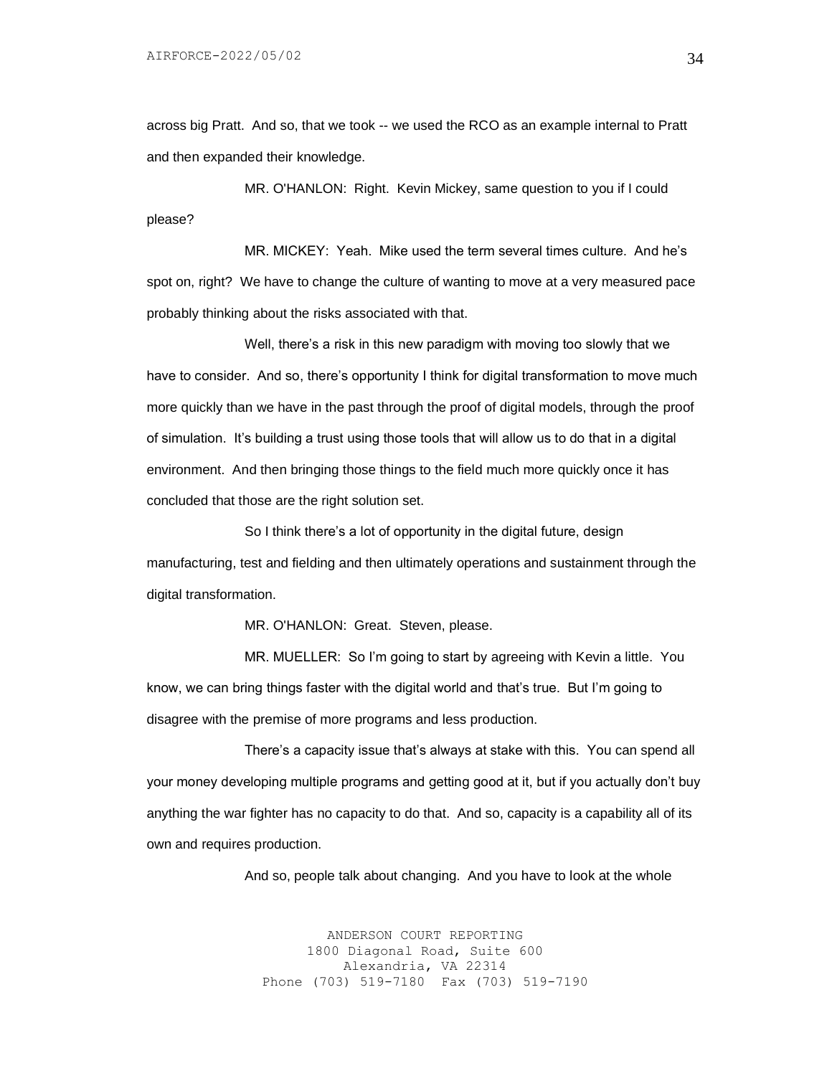across big Pratt. And so, that we took -- we used the RCO as an example internal to Pratt and then expanded their knowledge.

MR. O'HANLON: Right. Kevin Mickey, same question to you if I could please?

MR. MICKEY: Yeah. Mike used the term several times culture. And he's spot on, right? We have to change the culture of wanting to move at a very measured pace probably thinking about the risks associated with that.

Well, there's a risk in this new paradigm with moving too slowly that we have to consider. And so, there's opportunity I think for digital transformation to move much more quickly than we have in the past through the proof of digital models, through the proof of simulation. It's building a trust using those tools that will allow us to do that in a digital environment. And then bringing those things to the field much more quickly once it has concluded that those are the right solution set.

So I think there's a lot of opportunity in the digital future, design manufacturing, test and fielding and then ultimately operations and sustainment through the digital transformation.

MR. O'HANLON: Great. Steven, please.

MR. MUELLER: So I'm going to start by agreeing with Kevin a little. You know, we can bring things faster with the digital world and that's true. But I'm going to disagree with the premise of more programs and less production.

There's a capacity issue that's always at stake with this. You can spend all your money developing multiple programs and getting good at it, but if you actually don't buy anything the war fighter has no capacity to do that. And so, capacity is a capability all of its own and requires production.

And so, people talk about changing. And you have to look at the whole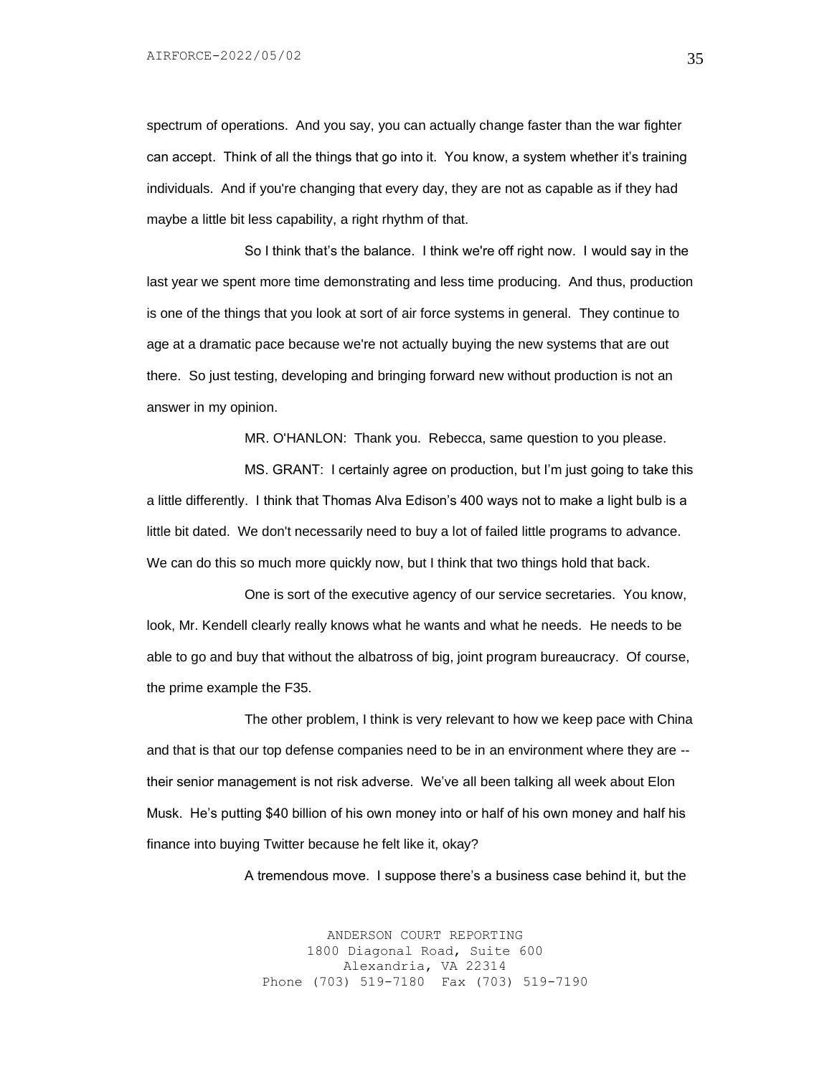spectrum of operations. And you say, you can actually change faster than the war fighter can accept. Think of all the things that go into it. You know, a system whether it's training individuals. And if you're changing that every day, they are not as capable as if they had maybe a little bit less capability, a right rhythm of that.

So I think that's the balance. I think we're off right now. I would say in the last year we spent more time demonstrating and less time producing. And thus, production is one of the things that you look at sort of air force systems in general. They continue to age at a dramatic pace because we're not actually buying the new systems that are out there. So just testing, developing and bringing forward new without production is not an answer in my opinion.

MR. O'HANLON: Thank you. Rebecca, same question to you please.

MS. GRANT: I certainly agree on production, but I'm just going to take this a little differently. I think that Thomas Alva Edison's 400 ways not to make a light bulb is a little bit dated. We don't necessarily need to buy a lot of failed little programs to advance. We can do this so much more quickly now, but I think that two things hold that back.

One is sort of the executive agency of our service secretaries. You know, look, Mr. Kendell clearly really knows what he wants and what he needs. He needs to be able to go and buy that without the albatross of big, joint program bureaucracy. Of course, the prime example the F35.

The other problem, I think is very relevant to how we keep pace with China and that is that our top defense companies need to be in an environment where they are - their senior management is not risk adverse. We've all been talking all week about Elon Musk. He's putting \$40 billion of his own money into or half of his own money and half his finance into buying Twitter because he felt like it, okay?

A tremendous move. I suppose there's a business case behind it, but the

ANDERSON COURT REPORTING 1800 Diagonal Road, Suite 600 Alexandria, VA 22314 Phone (703) 519-7180 Fax (703) 519-7190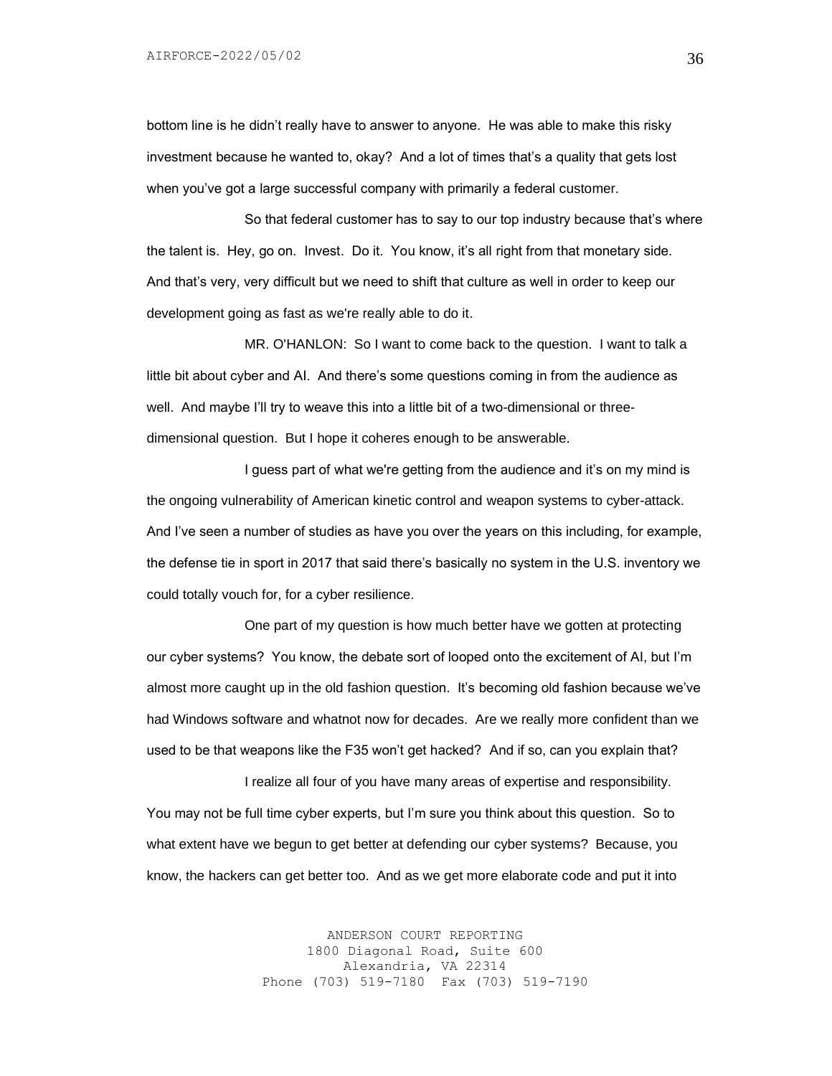bottom line is he didn't really have to answer to anyone. He was able to make this risky investment because he wanted to, okay? And a lot of times that's a quality that gets lost when you've got a large successful company with primarily a federal customer.

So that federal customer has to say to our top industry because that's where the talent is. Hey, go on. Invest. Do it. You know, it's all right from that monetary side. And that's very, very difficult but we need to shift that culture as well in order to keep our development going as fast as we're really able to do it.

MR. O'HANLON: So I want to come back to the question. I want to talk a little bit about cyber and AI. And there's some questions coming in from the audience as well. And maybe I'll try to weave this into a little bit of a two-dimensional or threedimensional question. But I hope it coheres enough to be answerable.

I guess part of what we're getting from the audience and it's on my mind is the ongoing vulnerability of American kinetic control and weapon systems to cyber-attack. And I've seen a number of studies as have you over the years on this including, for example, the defense tie in sport in 2017 that said there's basically no system in the U.S. inventory we could totally vouch for, for a cyber resilience.

One part of my question is how much better have we gotten at protecting our cyber systems? You know, the debate sort of looped onto the excitement of AI, but I'm almost more caught up in the old fashion question. It's becoming old fashion because we've had Windows software and whatnot now for decades. Are we really more confident than we used to be that weapons like the F35 won't get hacked? And if so, can you explain that?

I realize all four of you have many areas of expertise and responsibility. You may not be full time cyber experts, but I'm sure you think about this question. So to what extent have we begun to get better at defending our cyber systems? Because, you know, the hackers can get better too. And as we get more elaborate code and put it into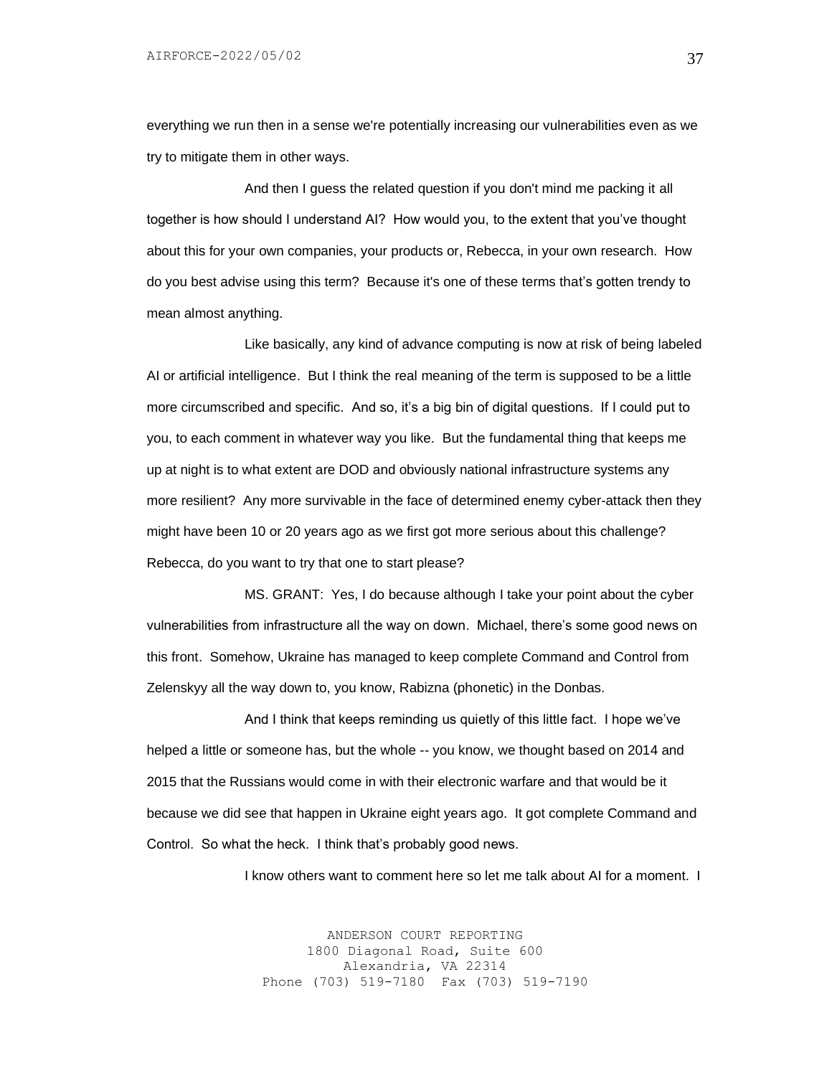everything we run then in a sense we're potentially increasing our vulnerabilities even as we try to mitigate them in other ways.

And then I guess the related question if you don't mind me packing it all together is how should I understand AI? How would you, to the extent that you've thought about this for your own companies, your products or, Rebecca, in your own research. How do you best advise using this term? Because it's one of these terms that's gotten trendy to mean almost anything.

Like basically, any kind of advance computing is now at risk of being labeled AI or artificial intelligence. But I think the real meaning of the term is supposed to be a little more circumscribed and specific. And so, it's a big bin of digital questions. If I could put to you, to each comment in whatever way you like. But the fundamental thing that keeps me up at night is to what extent are DOD and obviously national infrastructure systems any more resilient? Any more survivable in the face of determined enemy cyber-attack then they might have been 10 or 20 years ago as we first got more serious about this challenge? Rebecca, do you want to try that one to start please?

MS. GRANT: Yes, I do because although I take your point about the cyber vulnerabilities from infrastructure all the way on down. Michael, there's some good news on this front. Somehow, Ukraine has managed to keep complete Command and Control from Zelenskyy all the way down to, you know, Rabizna (phonetic) in the Donbas.

And I think that keeps reminding us quietly of this little fact. I hope we've helped a little or someone has, but the whole -- you know, we thought based on 2014 and 2015 that the Russians would come in with their electronic warfare and that would be it because we did see that happen in Ukraine eight years ago. It got complete Command and Control. So what the heck. I think that's probably good news.

I know others want to comment here so let me talk about AI for a moment. I

ANDERSON COURT REPORTING 1800 Diagonal Road, Suite 600 Alexandria, VA 22314 Phone (703) 519-7180 Fax (703) 519-7190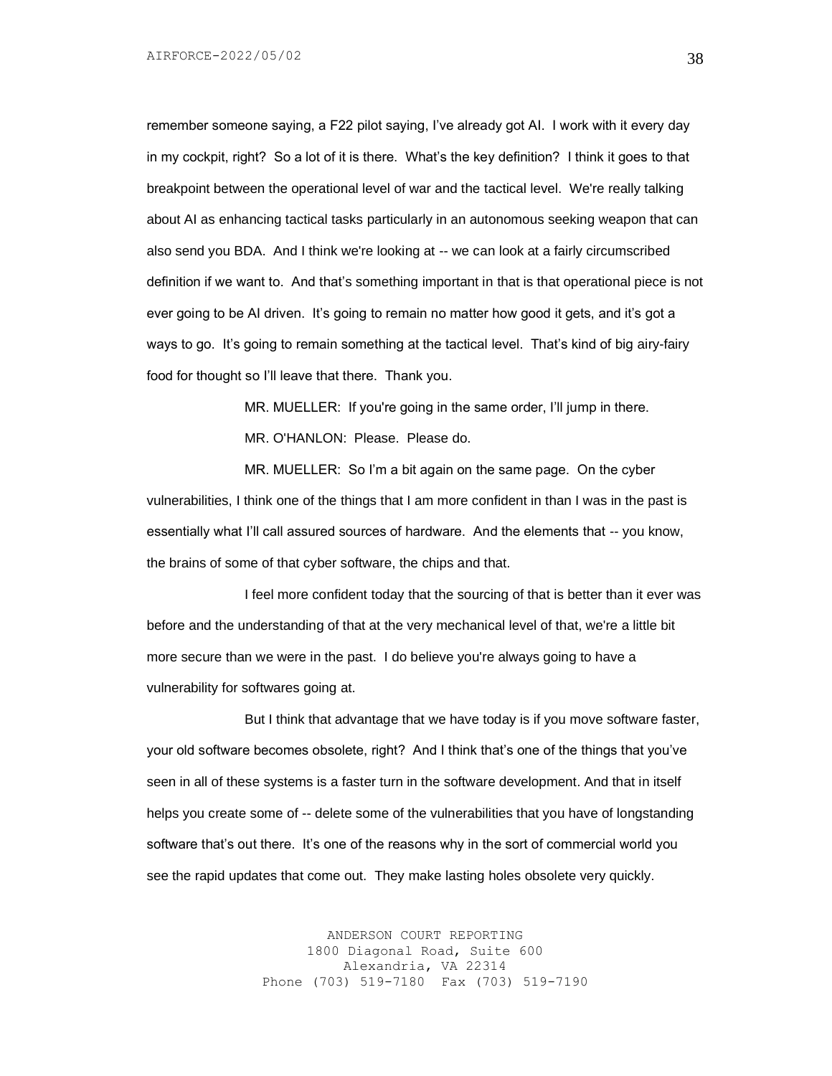remember someone saying, a F22 pilot saying, I've already got AI. I work with it every day in my cockpit, right? So a lot of it is there. What's the key definition? I think it goes to that breakpoint between the operational level of war and the tactical level. We're really talking about AI as enhancing tactical tasks particularly in an autonomous seeking weapon that can also send you BDA. And I think we're looking at -- we can look at a fairly circumscribed definition if we want to. And that's something important in that is that operational piece is not ever going to be AI driven. It's going to remain no matter how good it gets, and it's got a ways to go. It's going to remain something at the tactical level. That's kind of big airy-fairy food for thought so I'll leave that there. Thank you.

> MR. MUELLER: If you're going in the same order, I'll jump in there. MR. O'HANLON: Please. Please do.

MR. MUELLER: So I'm a bit again on the same page. On the cyber vulnerabilities, I think one of the things that I am more confident in than I was in the past is essentially what I'll call assured sources of hardware. And the elements that -- you know, the brains of some of that cyber software, the chips and that.

I feel more confident today that the sourcing of that is better than it ever was before and the understanding of that at the very mechanical level of that, we're a little bit more secure than we were in the past. I do believe you're always going to have a vulnerability for softwares going at.

But I think that advantage that we have today is if you move software faster, your old software becomes obsolete, right? And I think that's one of the things that you've seen in all of these systems is a faster turn in the software development. And that in itself helps you create some of -- delete some of the vulnerabilities that you have of longstanding software that's out there. It's one of the reasons why in the sort of commercial world you see the rapid updates that come out. They make lasting holes obsolete very quickly.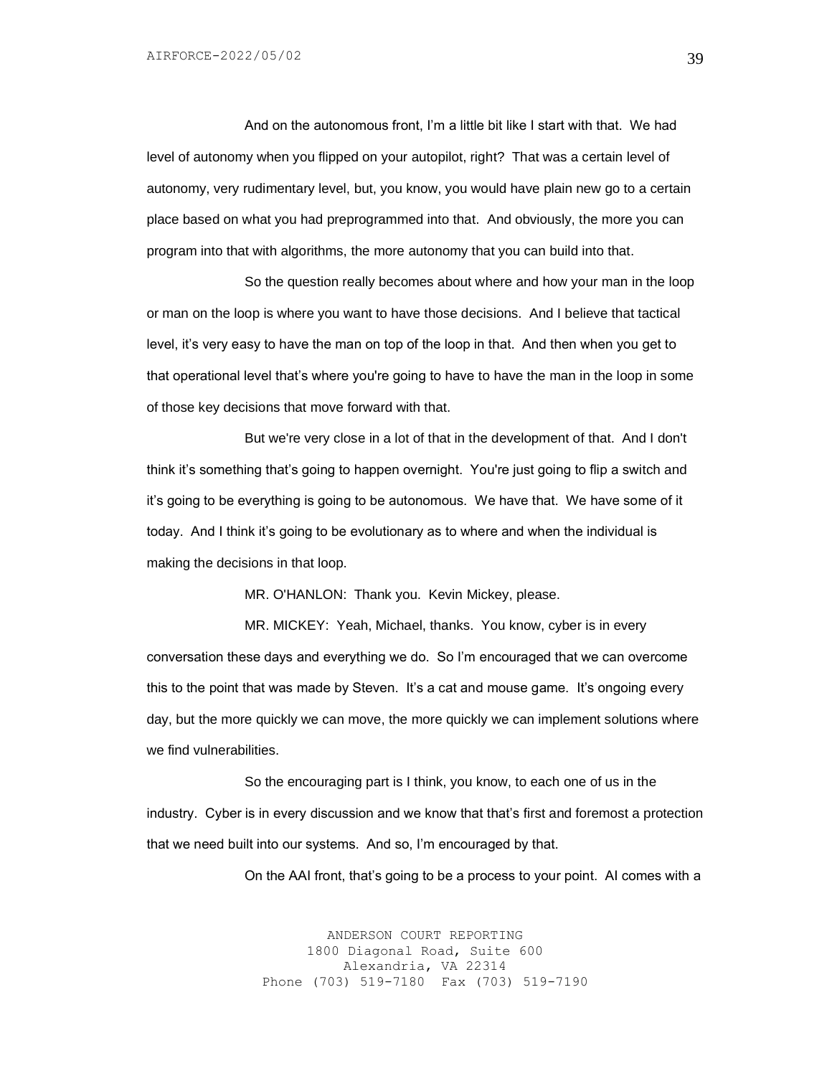And on the autonomous front, I'm a little bit like I start with that. We had level of autonomy when you flipped on your autopilot, right? That was a certain level of autonomy, very rudimentary level, but, you know, you would have plain new go to a certain place based on what you had preprogrammed into that. And obviously, the more you can program into that with algorithms, the more autonomy that you can build into that.

So the question really becomes about where and how your man in the loop or man on the loop is where you want to have those decisions. And I believe that tactical level, it's very easy to have the man on top of the loop in that. And then when you get to that operational level that's where you're going to have to have the man in the loop in some of those key decisions that move forward with that.

But we're very close in a lot of that in the development of that. And I don't think it's something that's going to happen overnight. You're just going to flip a switch and it's going to be everything is going to be autonomous. We have that. We have some of it today. And I think it's going to be evolutionary as to where and when the individual is making the decisions in that loop.

MR. O'HANLON: Thank you. Kevin Mickey, please.

MR. MICKEY: Yeah, Michael, thanks. You know, cyber is in every conversation these days and everything we do. So I'm encouraged that we can overcome this to the point that was made by Steven. It's a cat and mouse game. It's ongoing every day, but the more quickly we can move, the more quickly we can implement solutions where we find vulnerabilities.

So the encouraging part is I think, you know, to each one of us in the industry. Cyber is in every discussion and we know that that's first and foremost a protection that we need built into our systems. And so, I'm encouraged by that.

On the AAI front, that's going to be a process to your point. AI comes with a

ANDERSON COURT REPORTING 1800 Diagonal Road, Suite 600 Alexandria, VA 22314 Phone (703) 519-7180 Fax (703) 519-7190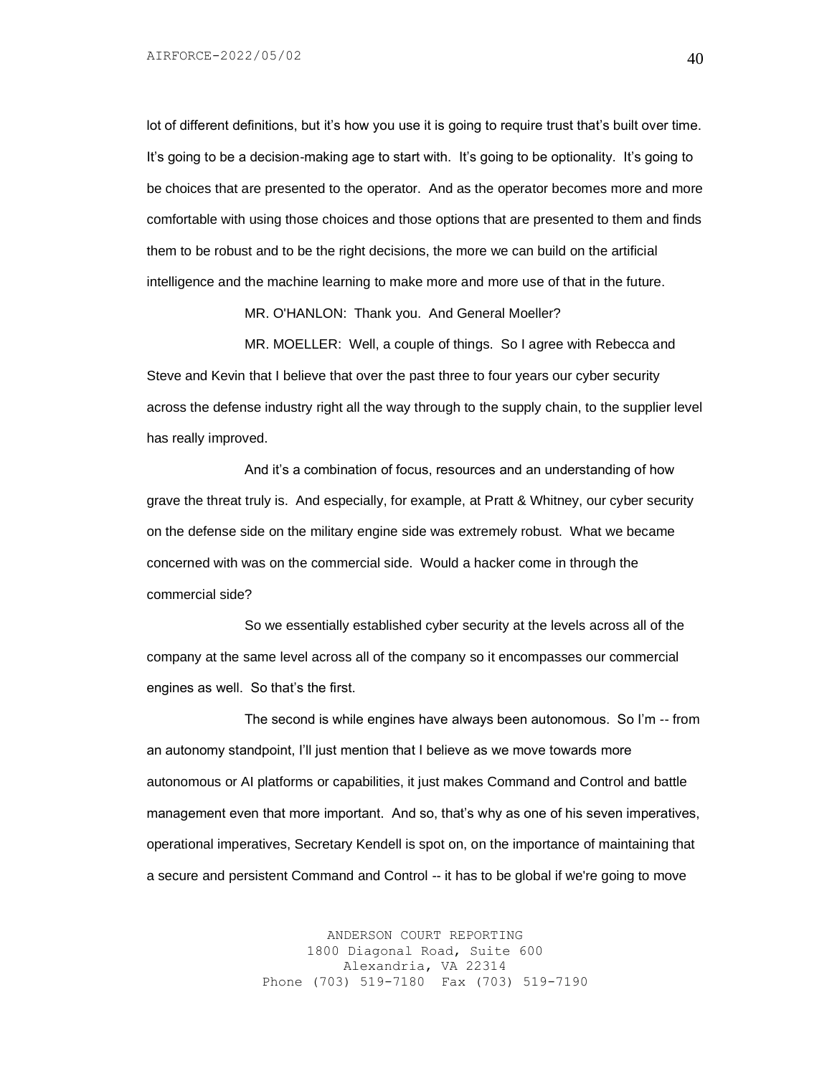lot of different definitions, but it's how you use it is going to require trust that's built over time. It's going to be a decision-making age to start with. It's going to be optionality. It's going to be choices that are presented to the operator. And as the operator becomes more and more comfortable with using those choices and those options that are presented to them and finds them to be robust and to be the right decisions, the more we can build on the artificial intelligence and the machine learning to make more and more use of that in the future.

MR. O'HANLON: Thank you. And General Moeller?

MR. MOELLER: Well, a couple of things. So I agree with Rebecca and Steve and Kevin that I believe that over the past three to four years our cyber security across the defense industry right all the way through to the supply chain, to the supplier level has really improved.

And it's a combination of focus, resources and an understanding of how grave the threat truly is. And especially, for example, at Pratt & Whitney, our cyber security on the defense side on the military engine side was extremely robust. What we became concerned with was on the commercial side. Would a hacker come in through the commercial side?

So we essentially established cyber security at the levels across all of the company at the same level across all of the company so it encompasses our commercial engines as well. So that's the first.

The second is while engines have always been autonomous. So I'm -- from an autonomy standpoint, I'll just mention that I believe as we move towards more autonomous or AI platforms or capabilities, it just makes Command and Control and battle management even that more important. And so, that's why as one of his seven imperatives, operational imperatives, Secretary Kendell is spot on, on the importance of maintaining that a secure and persistent Command and Control -- it has to be global if we're going to move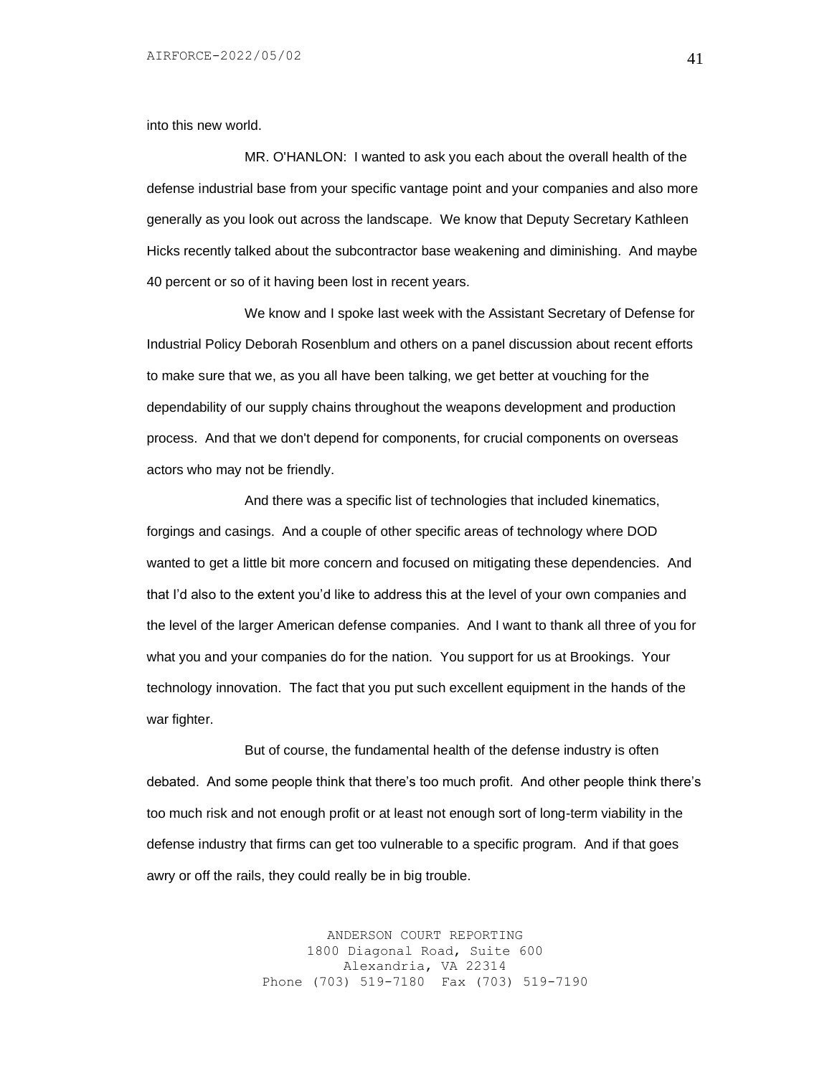into this new world.

MR. O'HANLON: I wanted to ask you each about the overall health of the defense industrial base from your specific vantage point and your companies and also more generally as you look out across the landscape. We know that Deputy Secretary Kathleen Hicks recently talked about the subcontractor base weakening and diminishing. And maybe 40 percent or so of it having been lost in recent years.

We know and I spoke last week with the Assistant Secretary of Defense for Industrial Policy Deborah Rosenblum and others on a panel discussion about recent efforts to make sure that we, as you all have been talking, we get better at vouching for the dependability of our supply chains throughout the weapons development and production process. And that we don't depend for components, for crucial components on overseas actors who may not be friendly.

And there was a specific list of technologies that included kinematics, forgings and casings. And a couple of other specific areas of technology where DOD wanted to get a little bit more concern and focused on mitigating these dependencies. And that I'd also to the extent you'd like to address this at the level of your own companies and the level of the larger American defense companies. And I want to thank all three of you for what you and your companies do for the nation. You support for us at Brookings. Your technology innovation. The fact that you put such excellent equipment in the hands of the war fighter.

But of course, the fundamental health of the defense industry is often debated. And some people think that there's too much profit. And other people think there's too much risk and not enough profit or at least not enough sort of long-term viability in the defense industry that firms can get too vulnerable to a specific program. And if that goes awry or off the rails, they could really be in big trouble.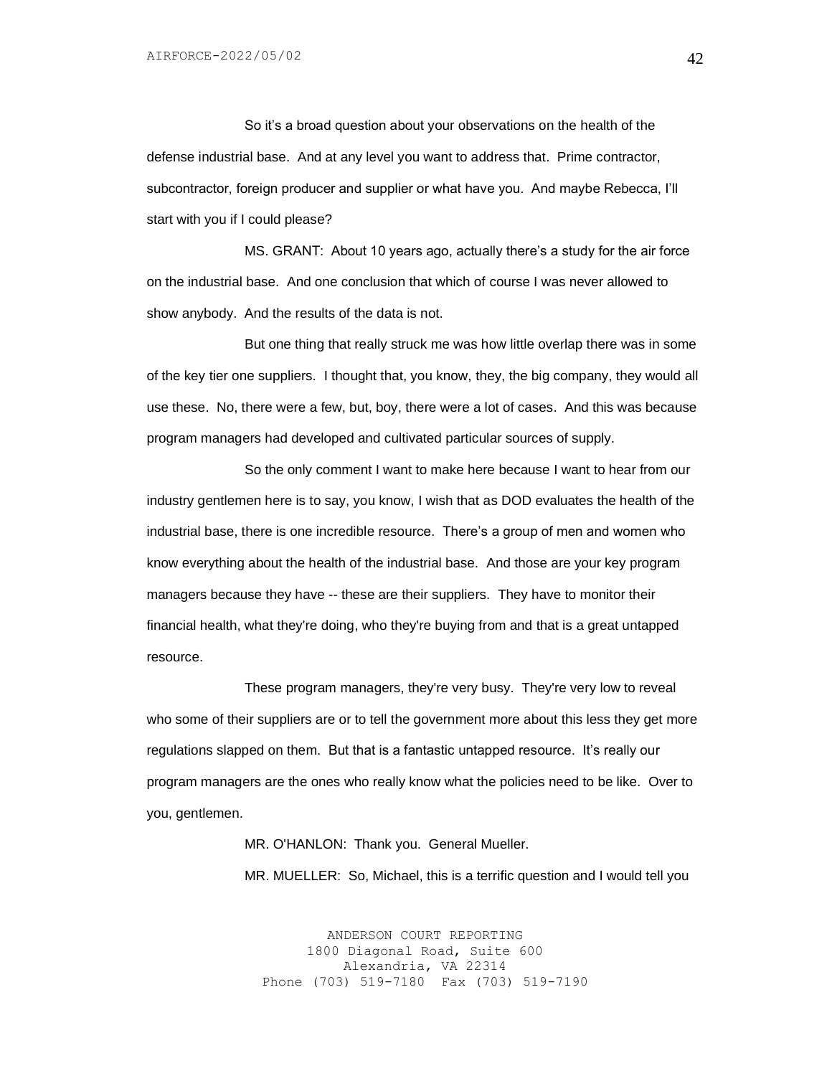So it's a broad question about your observations on the health of the defense industrial base. And at any level you want to address that. Prime contractor, subcontractor, foreign producer and supplier or what have you. And maybe Rebecca, I'll start with you if I could please?

MS. GRANT: About 10 years ago, actually there's a study for the air force on the industrial base. And one conclusion that which of course I was never allowed to show anybody. And the results of the data is not.

But one thing that really struck me was how little overlap there was in some of the key tier one suppliers. I thought that, you know, they, the big company, they would all use these. No, there were a few, but, boy, there were a lot of cases. And this was because program managers had developed and cultivated particular sources of supply.

So the only comment I want to make here because I want to hear from our industry gentlemen here is to say, you know, I wish that as DOD evaluates the health of the industrial base, there is one incredible resource. There's a group of men and women who know everything about the health of the industrial base. And those are your key program managers because they have -- these are their suppliers. They have to monitor their financial health, what they're doing, who they're buying from and that is a great untapped resource.

These program managers, they're very busy. They're very low to reveal who some of their suppliers are or to tell the government more about this less they get more regulations slapped on them. But that is a fantastic untapped resource. It's really our program managers are the ones who really know what the policies need to be like. Over to you, gentlemen.

> MR. O'HANLON: Thank you. General Mueller. MR. MUELLER: So, Michael, this is a terrific question and I would tell you

ANDERSON COURT REPORTING 1800 Diagonal Road, Suite 600 Alexandria, VA 22314 Phone (703) 519-7180 Fax (703) 519-7190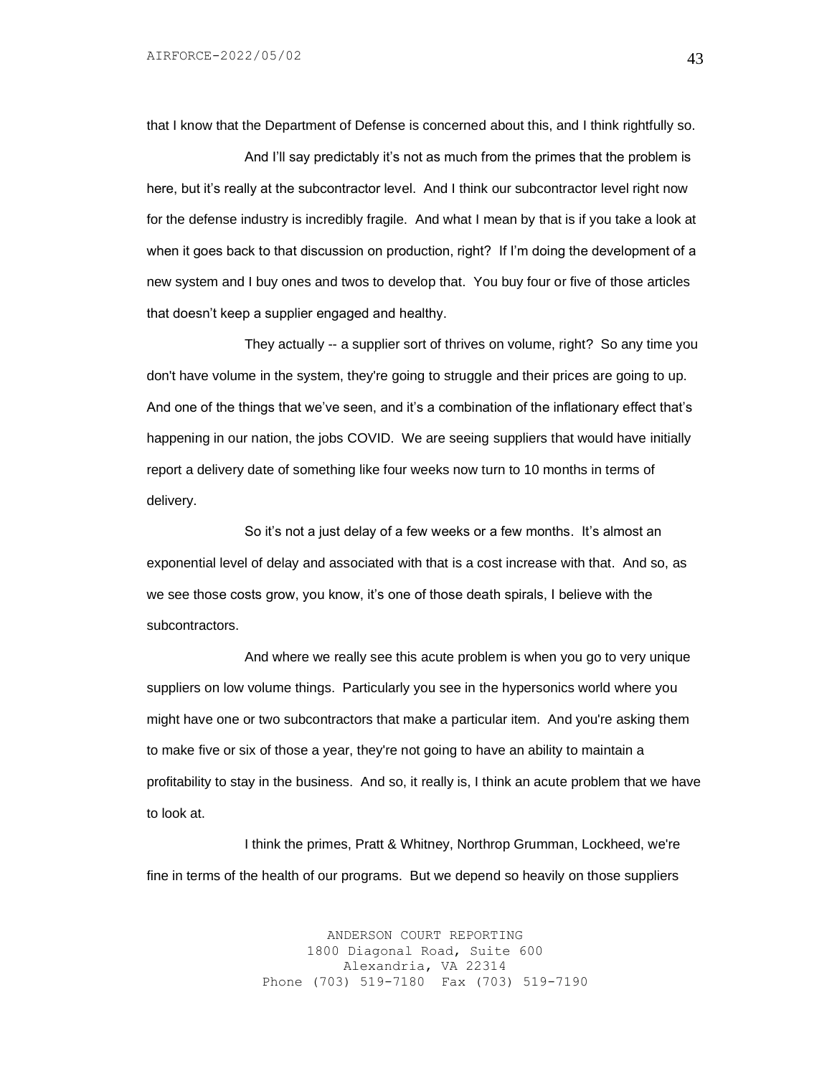that I know that the Department of Defense is concerned about this, and I think rightfully so.

And I'll say predictably it's not as much from the primes that the problem is here, but it's really at the subcontractor level. And I think our subcontractor level right now for the defense industry is incredibly fragile. And what I mean by that is if you take a look at when it goes back to that discussion on production, right? If I'm doing the development of a new system and I buy ones and twos to develop that. You buy four or five of those articles that doesn't keep a supplier engaged and healthy.

They actually -- a supplier sort of thrives on volume, right? So any time you don't have volume in the system, they're going to struggle and their prices are going to up. And one of the things that we've seen, and it's a combination of the inflationary effect that's happening in our nation, the jobs COVID. We are seeing suppliers that would have initially report a delivery date of something like four weeks now turn to 10 months in terms of delivery.

So it's not a just delay of a few weeks or a few months. It's almost an exponential level of delay and associated with that is a cost increase with that. And so, as we see those costs grow, you know, it's one of those death spirals, I believe with the subcontractors.

And where we really see this acute problem is when you go to very unique suppliers on low volume things. Particularly you see in the hypersonics world where you might have one or two subcontractors that make a particular item. And you're asking them to make five or six of those a year, they're not going to have an ability to maintain a profitability to stay in the business. And so, it really is, I think an acute problem that we have to look at.

I think the primes, Pratt & Whitney, Northrop Grumman, Lockheed, we're fine in terms of the health of our programs. But we depend so heavily on those suppliers

> ANDERSON COURT REPORTING 1800 Diagonal Road, Suite 600 Alexandria, VA 22314 Phone (703) 519-7180 Fax (703) 519-7190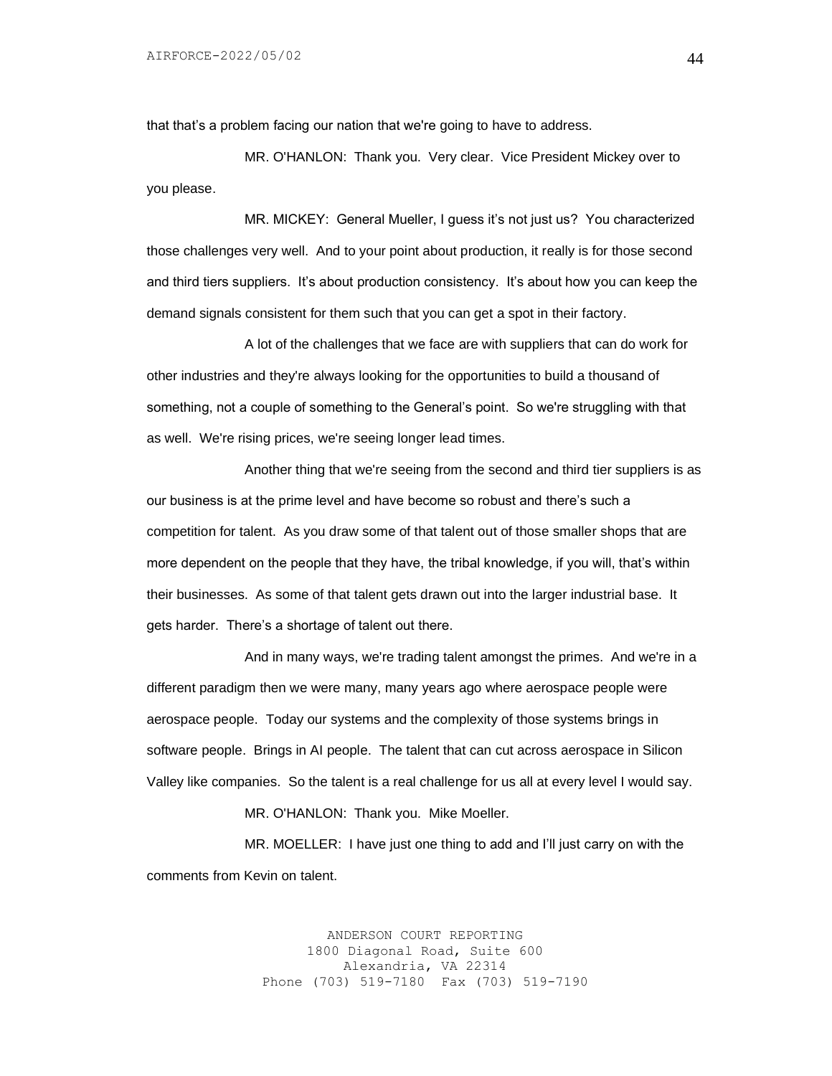that that's a problem facing our nation that we're going to have to address.

MR. O'HANLON: Thank you. Very clear. Vice President Mickey over to you please.

MR. MICKEY: General Mueller, I guess it's not just us? You characterized those challenges very well. And to your point about production, it really is for those second and third tiers suppliers. It's about production consistency. It's about how you can keep the demand signals consistent for them such that you can get a spot in their factory.

A lot of the challenges that we face are with suppliers that can do work for other industries and they're always looking for the opportunities to build a thousand of something, not a couple of something to the General's point. So we're struggling with that as well. We're rising prices, we're seeing longer lead times.

Another thing that we're seeing from the second and third tier suppliers is as our business is at the prime level and have become so robust and there's such a competition for talent. As you draw some of that talent out of those smaller shops that are more dependent on the people that they have, the tribal knowledge, if you will, that's within their businesses. As some of that talent gets drawn out into the larger industrial base. It gets harder. There's a shortage of talent out there.

And in many ways, we're trading talent amongst the primes. And we're in a different paradigm then we were many, many years ago where aerospace people were aerospace people. Today our systems and the complexity of those systems brings in software people. Brings in AI people. The talent that can cut across aerospace in Silicon Valley like companies. So the talent is a real challenge for us all at every level I would say.

MR. O'HANLON: Thank you. Mike Moeller.

MR. MOELLER: I have just one thing to add and I'll just carry on with the comments from Kevin on talent.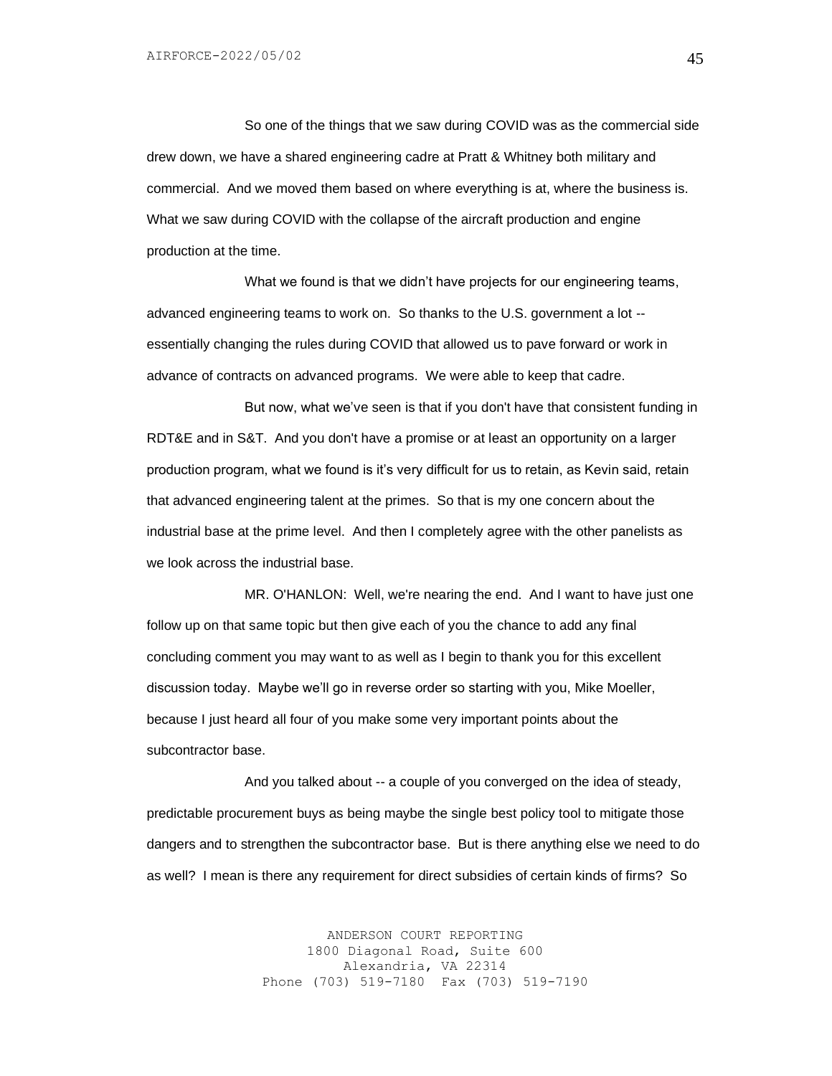So one of the things that we saw during COVID was as the commercial side drew down, we have a shared engineering cadre at Pratt & Whitney both military and commercial. And we moved them based on where everything is at, where the business is. What we saw during COVID with the collapse of the aircraft production and engine production at the time.

What we found is that we didn't have projects for our engineering teams, advanced engineering teams to work on. So thanks to the U.S. government a lot - essentially changing the rules during COVID that allowed us to pave forward or work in advance of contracts on advanced programs. We were able to keep that cadre.

But now, what we've seen is that if you don't have that consistent funding in RDT&E and in S&T. And you don't have a promise or at least an opportunity on a larger production program, what we found is it's very difficult for us to retain, as Kevin said, retain that advanced engineering talent at the primes. So that is my one concern about the industrial base at the prime level. And then I completely agree with the other panelists as we look across the industrial base.

MR. O'HANLON: Well, we're nearing the end. And I want to have just one follow up on that same topic but then give each of you the chance to add any final concluding comment you may want to as well as I begin to thank you for this excellent discussion today. Maybe we'll go in reverse order so starting with you, Mike Moeller, because I just heard all four of you make some very important points about the subcontractor base.

And you talked about -- a couple of you converged on the idea of steady, predictable procurement buys as being maybe the single best policy tool to mitigate those dangers and to strengthen the subcontractor base. But is there anything else we need to do as well? I mean is there any requirement for direct subsidies of certain kinds of firms? So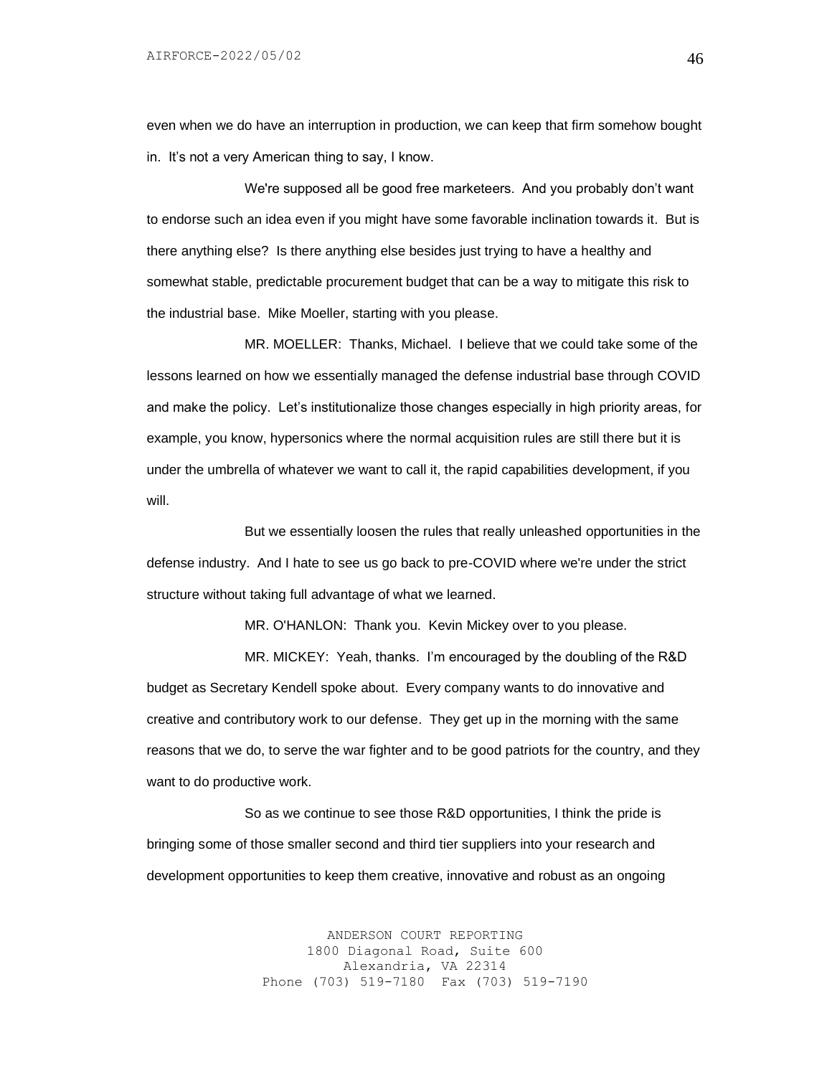even when we do have an interruption in production, we can keep that firm somehow bought in. It's not a very American thing to say, I know.

We're supposed all be good free marketeers. And you probably don't want to endorse such an idea even if you might have some favorable inclination towards it. But is there anything else? Is there anything else besides just trying to have a healthy and somewhat stable, predictable procurement budget that can be a way to mitigate this risk to the industrial base. Mike Moeller, starting with you please.

MR. MOELLER: Thanks, Michael. I believe that we could take some of the lessons learned on how we essentially managed the defense industrial base through COVID and make the policy. Let's institutionalize those changes especially in high priority areas, for example, you know, hypersonics where the normal acquisition rules are still there but it is under the umbrella of whatever we want to call it, the rapid capabilities development, if you will.

But we essentially loosen the rules that really unleashed opportunities in the defense industry. And I hate to see us go back to pre-COVID where we're under the strict structure without taking full advantage of what we learned.

MR. O'HANLON: Thank you. Kevin Mickey over to you please.

MR. MICKEY: Yeah, thanks. I'm encouraged by the doubling of the R&D budget as Secretary Kendell spoke about. Every company wants to do innovative and creative and contributory work to our defense. They get up in the morning with the same reasons that we do, to serve the war fighter and to be good patriots for the country, and they want to do productive work.

So as we continue to see those R&D opportunities, I think the pride is bringing some of those smaller second and third tier suppliers into your research and development opportunities to keep them creative, innovative and robust as an ongoing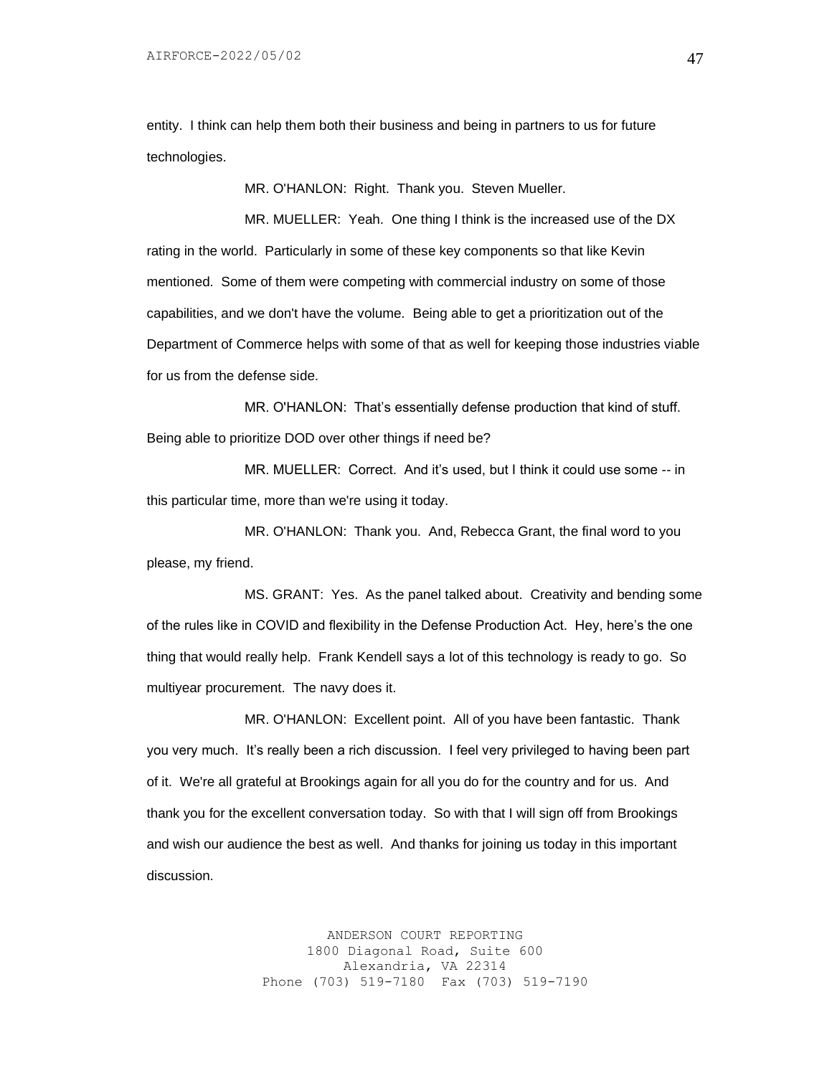entity. I think can help them both their business and being in partners to us for future technologies.

MR. O'HANLON: Right. Thank you. Steven Mueller.

MR. MUELLER: Yeah. One thing I think is the increased use of the DX rating in the world. Particularly in some of these key components so that like Kevin mentioned. Some of them were competing with commercial industry on some of those capabilities, and we don't have the volume. Being able to get a prioritization out of the Department of Commerce helps with some of that as well for keeping those industries viable for us from the defense side.

MR. O'HANLON: That's essentially defense production that kind of stuff. Being able to prioritize DOD over other things if need be?

MR. MUELLER: Correct. And it's used, but I think it could use some -- in this particular time, more than we're using it today.

MR. O'HANLON: Thank you. And, Rebecca Grant, the final word to you please, my friend.

MS. GRANT: Yes. As the panel talked about. Creativity and bending some of the rules like in COVID and flexibility in the Defense Production Act. Hey, here's the one thing that would really help. Frank Kendell says a lot of this technology is ready to go. So multiyear procurement. The navy does it.

MR. O'HANLON: Excellent point. All of you have been fantastic. Thank you very much. It's really been a rich discussion. I feel very privileged to having been part of it. We're all grateful at Brookings again for all you do for the country and for us. And thank you for the excellent conversation today. So with that I will sign off from Brookings and wish our audience the best as well. And thanks for joining us today in this important discussion.

> ANDERSON COURT REPORTING 1800 Diagonal Road, Suite 600 Alexandria, VA 22314 Phone (703) 519-7180 Fax (703) 519-7190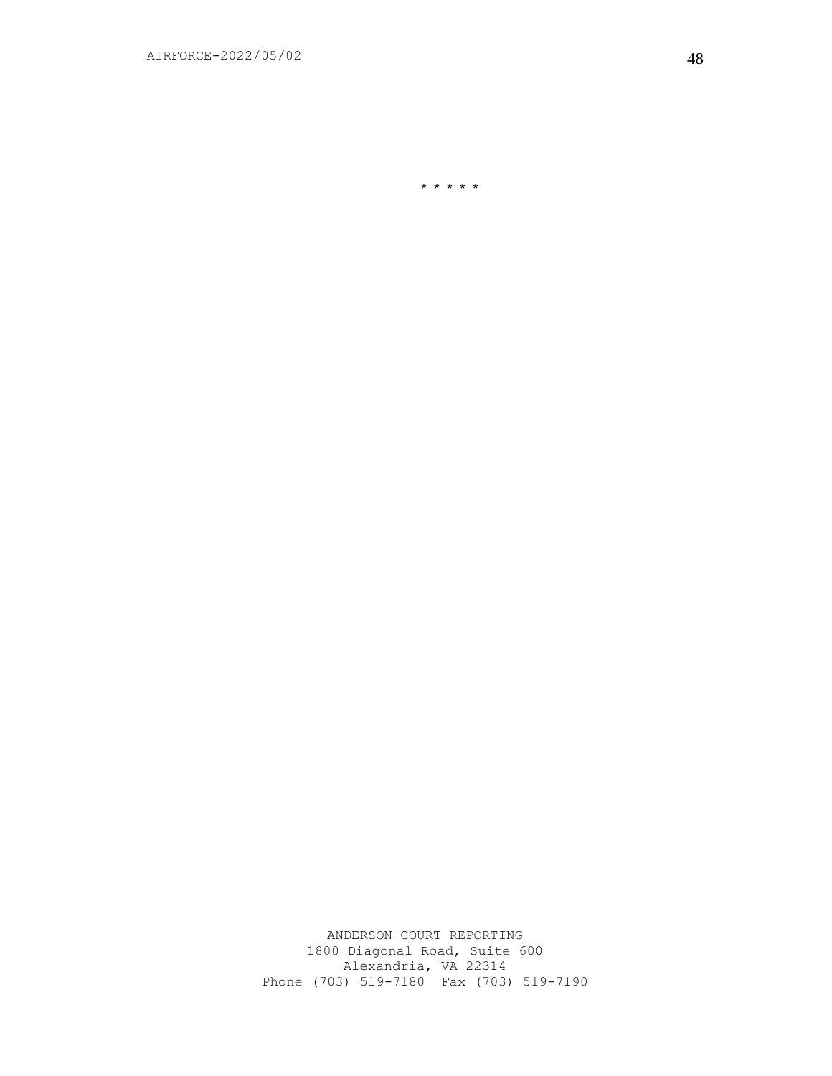\* \* \* \* \*